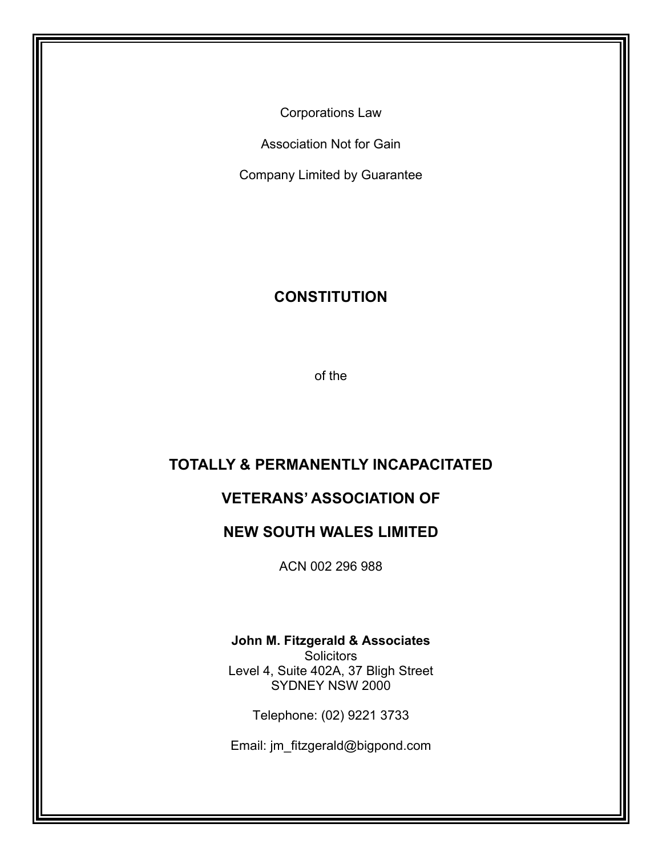Corporations Law

Association Not for Gain

Company Limited by Guarantee

# **CONSTITUTION**

of the

# **TOTALLY & PERMANENTLY INCAPACITATED**

# **VETERANS' ASSOCIATION OF**

### **NEW SOUTH WALES LIMITED**

ACN 002 296 988

#### **John M. Fitzgerald & Associates**

**Solicitors** Level 4, Suite 402A, 37 Bligh Street SYDNEY NSW 2000

Telephone: (02) 9221 3733

Email: jm\_fitzgerald@bigpond.com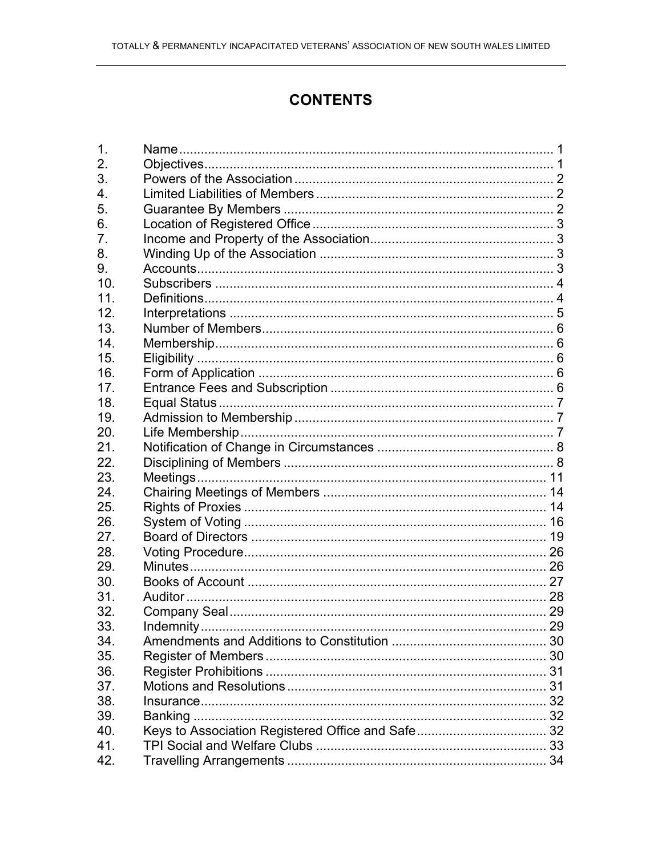# **CONTENTS**

| 1.  |  |
|-----|--|
| 2.  |  |
| 3.  |  |
| 4.  |  |
| 5.  |  |
| 6.  |  |
| 7.  |  |
| 8.  |  |
| 9.  |  |
| 10. |  |
| 11. |  |
| 12. |  |
| 13. |  |
| 14. |  |
| 15. |  |
| 16. |  |
| 17. |  |
| 18. |  |
| 19. |  |
| 20. |  |
| 21. |  |
| 22. |  |
| 23. |  |
| 24. |  |
| 25. |  |
| 26. |  |
| 27. |  |
| 28. |  |
| 29. |  |
| 30. |  |
| 31. |  |
| 32. |  |
| 33. |  |
| 34. |  |
| 35. |  |
| 36. |  |
| 37. |  |
| 38. |  |
| 39. |  |
| 40. |  |
| 41. |  |
| 42. |  |
|     |  |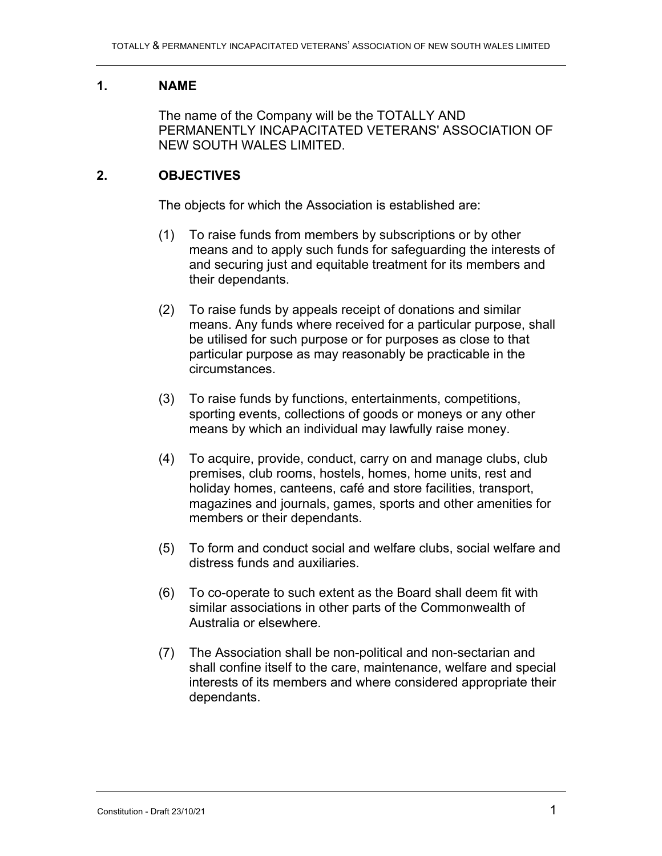### **1. NAME**

The name of the Company will be the TOTALLY AND PERMANENTLY INCAPACITATED VETERANS' ASSOCIATION OF NEW SOUTH WALES LIMITED.

### **2. OBJECTIVES**

The objects for which the Association is established are:

- (1) To raise funds from members by subscriptions or by other means and to apply such funds for safeguarding the interests of and securing just and equitable treatment for its members and their dependants.
- (2) To raise funds by appeals receipt of donations and similar means. Any funds where received for a particular purpose, shall be utilised for such purpose or for purposes as close to that particular purpose as may reasonably be practicable in the circumstances.
- (3) To raise funds by functions, entertainments, competitions, sporting events, collections of goods or moneys or any other means by which an individual may lawfully raise money.
- (4) To acquire, provide, conduct, carry on and manage clubs, club premises, club rooms, hostels, homes, home units, rest and holiday homes, canteens, café and store facilities, transport, magazines and journals, games, sports and other amenities for members or their dependants.
- (5) To form and conduct social and welfare clubs, social welfare and distress funds and auxiliaries.
- (6) To co-operate to such extent as the Board shall deem fit with similar associations in other parts of the Commonwealth of Australia or elsewhere.
- (7) The Association shall be non-political and non-sectarian and shall confine itself to the care, maintenance, welfare and special interests of its members and where considered appropriate their dependants.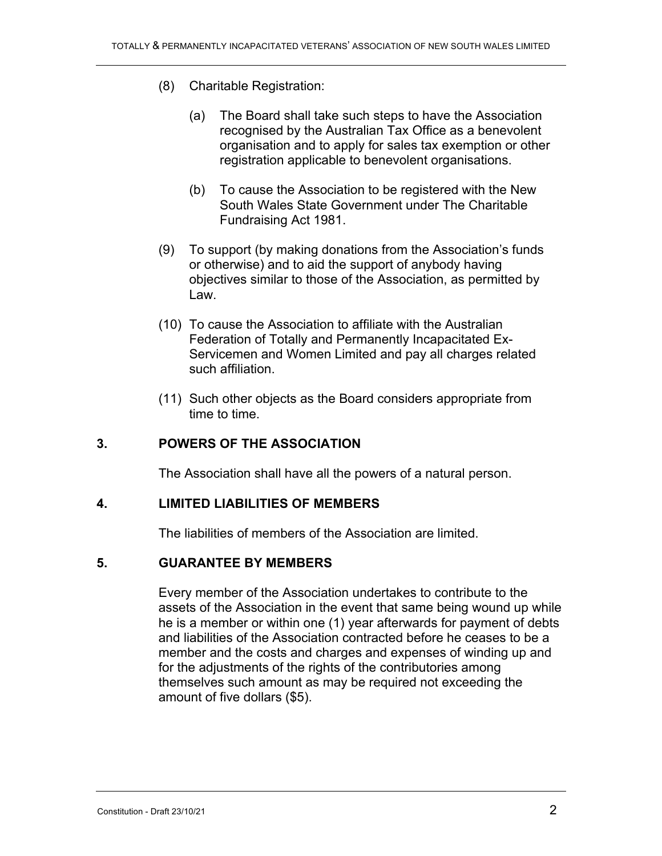- (8) Charitable Registration:
	- (a) The Board shall take such steps to have the Association recognised by the Australian Tax Office as a benevolent organisation and to apply for sales tax exemption or other registration applicable to benevolent organisations.
	- (b) To cause the Association to be registered with the New South Wales State Government under The Charitable Fundraising Act 1981.
- (9) To support (by making donations from the Association's funds or otherwise) and to aid the support of anybody having objectives similar to those of the Association, as permitted by Law.
- (10) To cause the Association to affiliate with the Australian Federation of Totally and Permanently Incapacitated Ex-Servicemen and Women Limited and pay all charges related such affiliation.
- (11) Such other objects as the Board considers appropriate from time to time.

### **3. POWERS OF THE ASSOCIATION**

The Association shall have all the powers of a natural person.

#### **4. LIMITED LIABILITIES OF MEMBERS**

The liabilities of members of the Association are limited.

#### **5. GUARANTEE BY MEMBERS**

Every member of the Association undertakes to contribute to the assets of the Association in the event that same being wound up while he is a member or within one (1) year afterwards for payment of debts and liabilities of the Association contracted before he ceases to be a member and the costs and charges and expenses of winding up and for the adjustments of the rights of the contributories among themselves such amount as may be required not exceeding the amount of five dollars (\$5).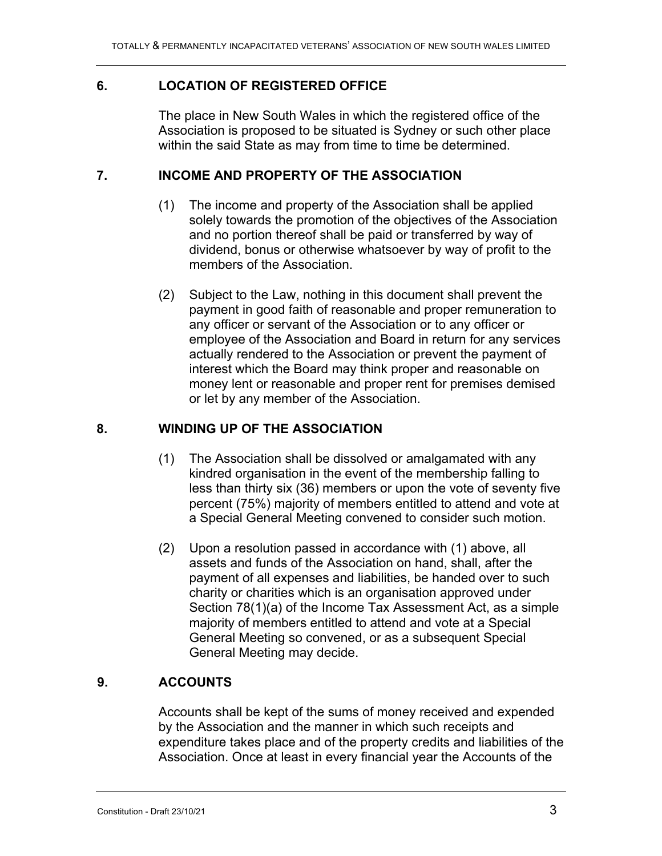### **6. LOCATION OF REGISTERED OFFICE**

The place in New South Wales in which the registered office of the Association is proposed to be situated is Sydney or such other place within the said State as may from time to time be determined.

### **7. INCOME AND PROPERTY OF THE ASSOCIATION**

- (1) The income and property of the Association shall be applied solely towards the promotion of the objectives of the Association and no portion thereof shall be paid or transferred by way of dividend, bonus or otherwise whatsoever by way of profit to the members of the Association.
- (2) Subject to the Law, nothing in this document shall prevent the payment in good faith of reasonable and proper remuneration to any officer or servant of the Association or to any officer or employee of the Association and Board in return for any services actually rendered to the Association or prevent the payment of interest which the Board may think proper and reasonable on money lent or reasonable and proper rent for premises demised or let by any member of the Association.

### **8. WINDING UP OF THE ASSOCIATION**

- (1) The Association shall be dissolved or amalgamated with any kindred organisation in the event of the membership falling to less than thirty six (36) members or upon the vote of seventy five percent (75%) majority of members entitled to attend and vote at a Special General Meeting convened to consider such motion.
- (2) Upon a resolution passed in accordance with (1) above, all assets and funds of the Association on hand, shall, after the payment of all expenses and liabilities, be handed over to such charity or charities which is an organisation approved under Section 78(1)(a) of the Income Tax Assessment Act, as a simple majority of members entitled to attend and vote at a Special General Meeting so convened, or as a subsequent Special General Meeting may decide.

#### **9. ACCOUNTS**

Accounts shall be kept of the sums of money received and expended by the Association and the manner in which such receipts and expenditure takes place and of the property credits and liabilities of the Association. Once at least in every financial year the Accounts of the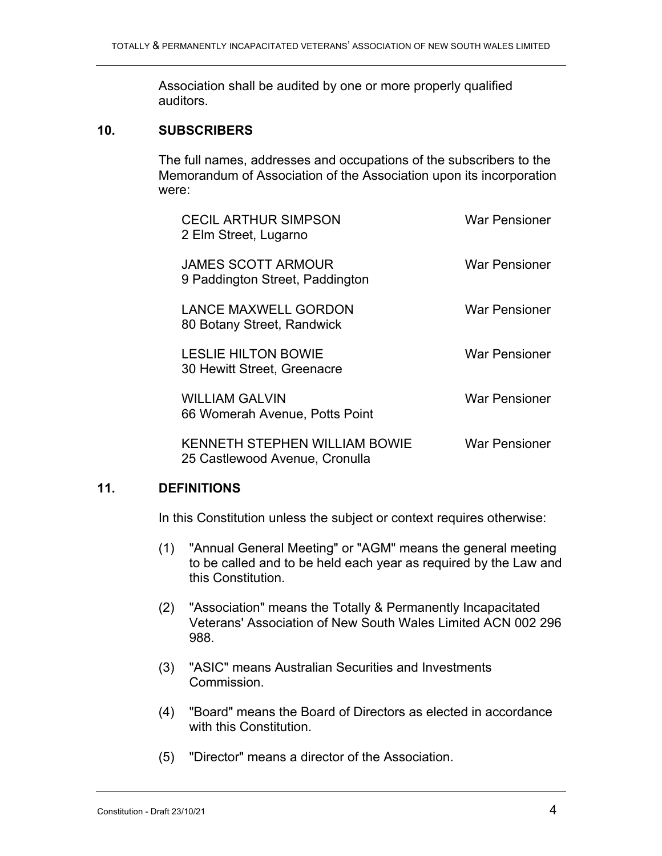Association shall be audited by one or more properly qualified auditors.

#### **10. SUBSCRIBERS**

The full names, addresses and occupations of the subscribers to the Memorandum of Association of the Association upon its incorporation were:

| <b>CECIL ARTHUR SIMPSON</b><br>2 Elm Street, Lugarno                   | <b>War Pensioner</b> |
|------------------------------------------------------------------------|----------------------|
| <b>JAMES SCOTT ARMOUR</b><br>9 Paddington Street, Paddington           | <b>War Pensioner</b> |
| <b>LANCE MAXWELL GORDON</b><br>80 Botany Street, Randwick              | <b>War Pensioner</b> |
| <b>LESLIE HILTON BOWIE</b><br>30 Hewitt Street, Greenacre              | <b>War Pensioner</b> |
| <b>WILLIAM GALVIN</b><br>66 Womerah Avenue, Potts Point                | <b>War Pensioner</b> |
| <b>KENNETH STEPHEN WILLIAM BOWIE</b><br>25 Castlewood Avenue, Cronulla | War Pensioner        |

#### **11. DEFINITIONS**

In this Constitution unless the subject or context requires otherwise:

- (1) "Annual General Meeting" or "AGM" means the general meeting to be called and to be held each year as required by the Law and this Constitution.
- (2) "Association" means the Totally & Permanently Incapacitated Veterans' Association of New South Wales Limited ACN 002 296 988.
- (3) "ASIC" means Australian Securities and Investments Commission.
- (4) "Board" means the Board of Directors as elected in accordance with this Constitution.
- (5) "Director" means a director of the Association.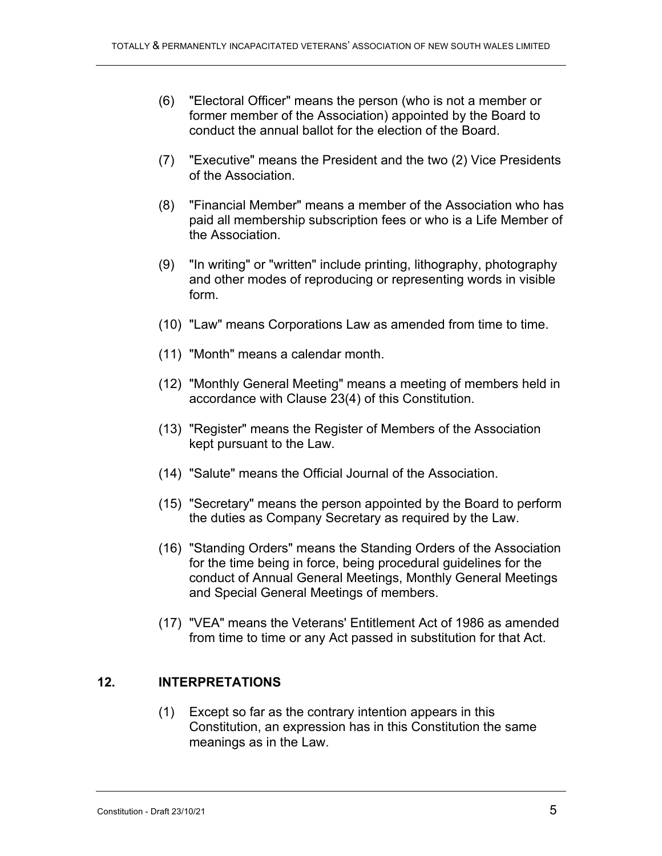- (6) "Electoral Officer" means the person (who is not a member or former member of the Association) appointed by the Board to conduct the annual ballot for the election of the Board.
- (7) "Executive" means the President and the two (2) Vice Presidents of the Association.
- (8) "Financial Member" means a member of the Association who has paid all membership subscription fees or who is a Life Member of the Association.
- (9) "In writing" or "written" include printing, lithography, photography and other modes of reproducing or representing words in visible form.
- (10) "Law" means Corporations Law as amended from time to time.
- (11) "Month" means a calendar month.
- (12) "Monthly General Meeting" means a meeting of members held in accordance with Clause 23(4) of this Constitution.
- (13) "Register" means the Register of Members of the Association kept pursuant to the Law.
- (14) "Salute" means the Official Journal of the Association.
- (15) "Secretary" means the person appointed by the Board to perform the duties as Company Secretary as required by the Law.
- (16) "Standing Orders" means the Standing Orders of the Association for the time being in force, being procedural guidelines for the conduct of Annual General Meetings, Monthly General Meetings and Special General Meetings of members.
- (17) "VEA" means the Veterans' Entitlement Act of 1986 as amended from time to time or any Act passed in substitution for that Act.

#### **12. INTERPRETATIONS**

(1) Except so far as the contrary intention appears in this Constitution, an expression has in this Constitution the same meanings as in the Law.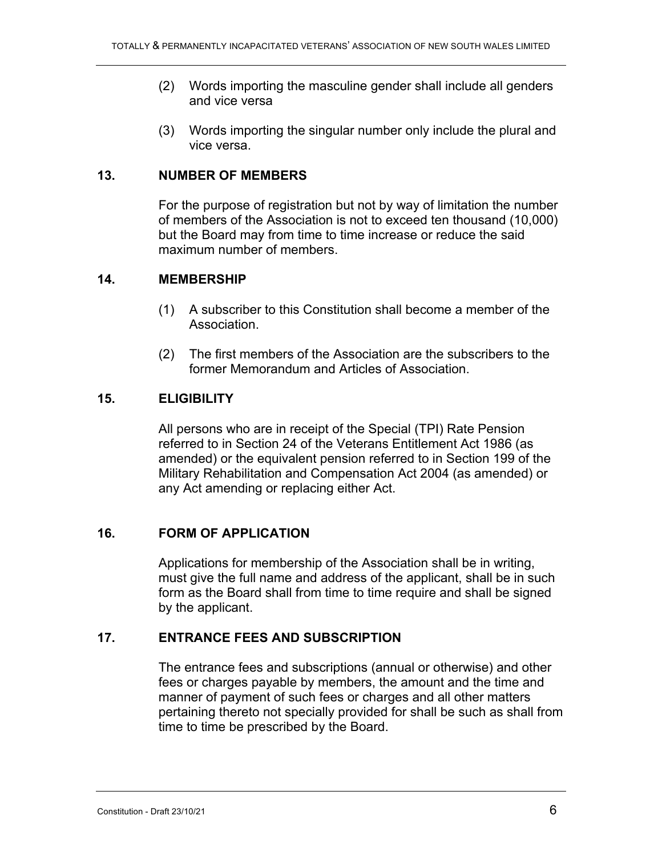- (2) Words importing the masculine gender shall include all genders and vice versa
- (3) Words importing the singular number only include the plural and vice versa.

#### **13. NUMBER OF MEMBERS**

For the purpose of registration but not by way of limitation the number of members of the Association is not to exceed ten thousand (10,000) but the Board may from time to time increase or reduce the said maximum number of members.

#### **14. MEMBERSHIP**

- (1) A subscriber to this Constitution shall become a member of the Association.
- (2) The first members of the Association are the subscribers to the former Memorandum and Articles of Association.

### **15. ELIGIBILITY**

All persons who are in receipt of the Special (TPI) Rate Pension referred to in Section 24 of the Veterans Entitlement Act 1986 (as amended) or the equivalent pension referred to in Section 199 of the Military Rehabilitation and Compensation Act 2004 (as amended) or any Act amending or replacing either Act.

#### **16. FORM OF APPLICATION**

Applications for membership of the Association shall be in writing, must give the full name and address of the applicant, shall be in such form as the Board shall from time to time require and shall be signed by the applicant.

### **17. ENTRANCE FEES AND SUBSCRIPTION**

The entrance fees and subscriptions (annual or otherwise) and other fees or charges payable by members, the amount and the time and manner of payment of such fees or charges and all other matters pertaining thereto not specially provided for shall be such as shall from time to time be prescribed by the Board.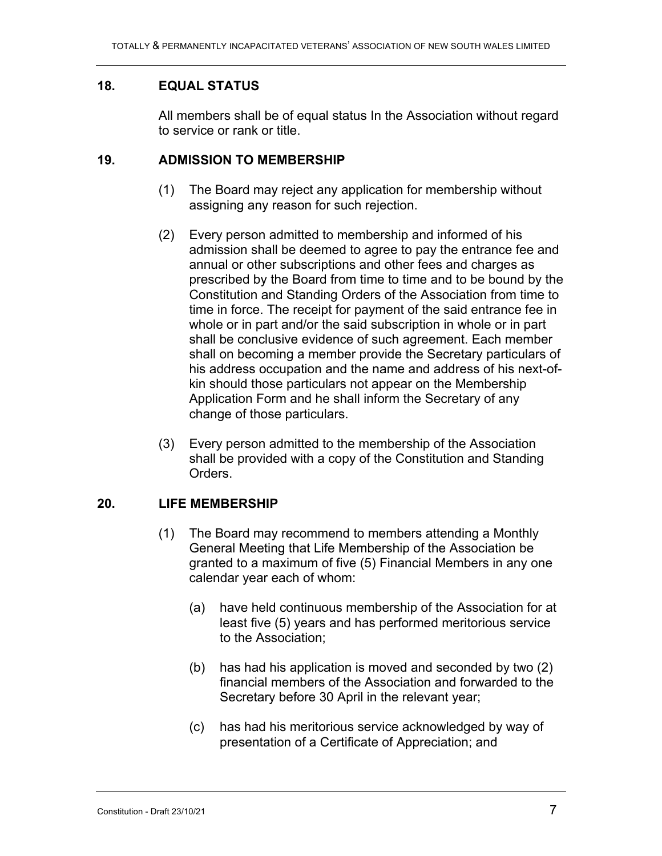### **18. EQUAL STATUS**

All members shall be of equal status In the Association without regard to service or rank or title.

#### **19. ADMISSION TO MEMBERSHIP**

- (1) The Board may reject any application for membership without assigning any reason for such rejection.
- (2) Every person admitted to membership and informed of his admission shall be deemed to agree to pay the entrance fee and annual or other subscriptions and other fees and charges as prescribed by the Board from time to time and to be bound by the Constitution and Standing Orders of the Association from time to time in force. The receipt for payment of the said entrance fee in whole or in part and/or the said subscription in whole or in part shall be conclusive evidence of such agreement. Each member shall on becoming a member provide the Secretary particulars of his address occupation and the name and address of his next-ofkin should those particulars not appear on the Membership Application Form and he shall inform the Secretary of any change of those particulars.
- (3) Every person admitted to the membership of the Association shall be provided with a copy of the Constitution and Standing Orders.

#### **20. LIFE MEMBERSHIP**

- (1) The Board may recommend to members attending a Monthly General Meeting that Life Membership of the Association be granted to a maximum of five (5) Financial Members in any one calendar year each of whom:
	- (a) have held continuous membership of the Association for at least five (5) years and has performed meritorious service to the Association;
	- (b) has had his application is moved and seconded by two (2) financial members of the Association and forwarded to the Secretary before 30 April in the relevant year;
	- (c) has had his meritorious service acknowledged by way of presentation of a Certificate of Appreciation; and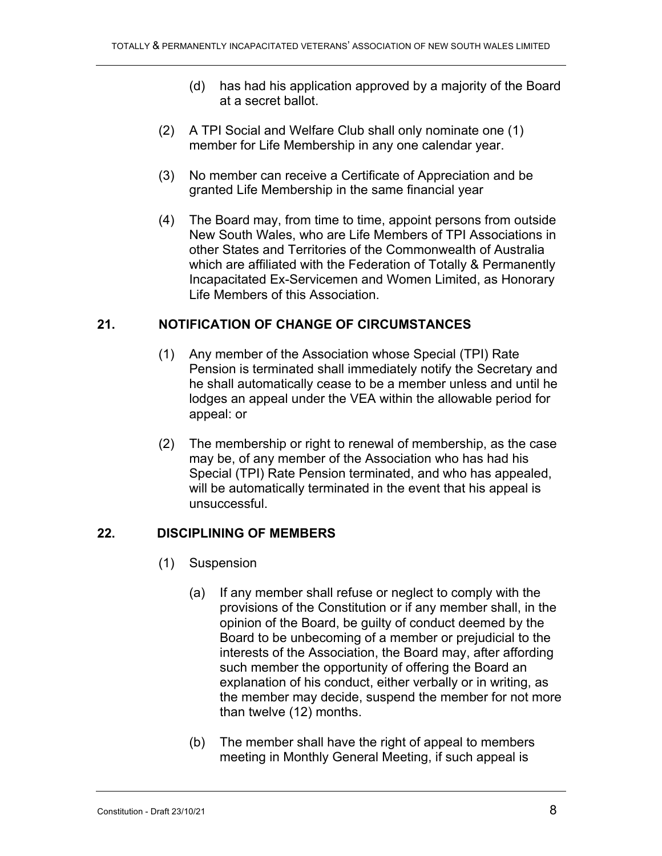- (d) has had his application approved by a majority of the Board at a secret ballot.
- (2) A TPI Social and Welfare Club shall only nominate one (1) member for Life Membership in any one calendar year.
- (3) No member can receive a Certificate of Appreciation and be granted Life Membership in the same financial year
- (4) The Board may, from time to time, appoint persons from outside New South Wales, who are Life Members of TPI Associations in other States and Territories of the Commonwealth of Australia which are affiliated with the Federation of Totally & Permanently Incapacitated Ex-Servicemen and Women Limited, as Honorary Life Members of this Association.

### **21. NOTIFICATION OF CHANGE OF CIRCUMSTANCES**

- (1) Any member of the Association whose Special (TPI) Rate Pension is terminated shall immediately notify the Secretary and he shall automatically cease to be a member unless and until he lodges an appeal under the VEA within the allowable period for appeal: or
- (2) The membership or right to renewal of membership, as the case may be, of any member of the Association who has had his Special (TPI) Rate Pension terminated, and who has appealed, will be automatically terminated in the event that his appeal is unsuccessful.

### **22. DISCIPLINING OF MEMBERS**

- (1) Suspension
	- (a) If any member shall refuse or neglect to comply with the provisions of the Constitution or if any member shall, in the opinion of the Board, be guilty of conduct deemed by the Board to be unbecoming of a member or prejudicial to the interests of the Association, the Board may, after affording such member the opportunity of offering the Board an explanation of his conduct, either verbally or in writing, as the member may decide, suspend the member for not more than twelve (12) months.
	- (b) The member shall have the right of appeal to members meeting in Monthly General Meeting, if such appeal is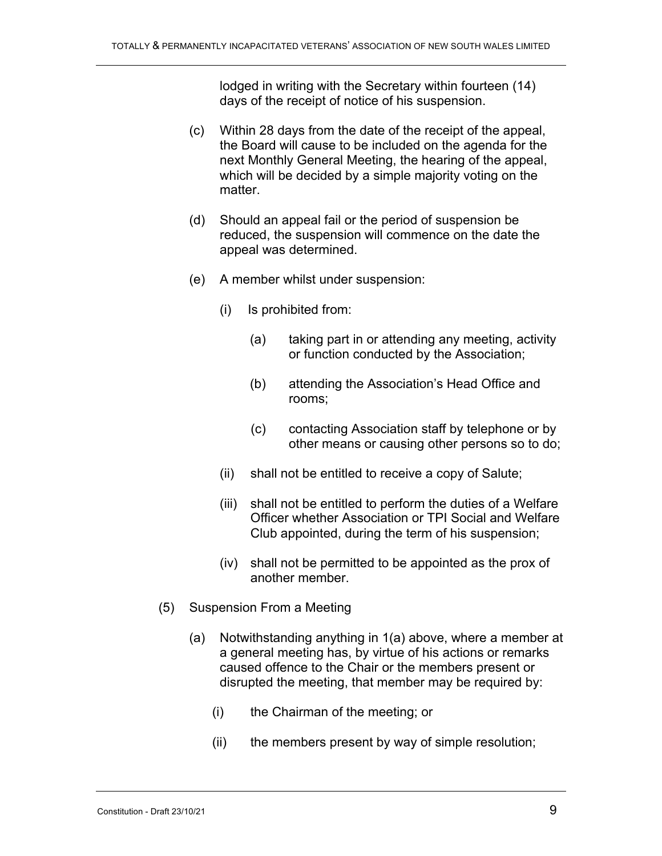lodged in writing with the Secretary within fourteen (14) days of the receipt of notice of his suspension.

- (c) Within 28 days from the date of the receipt of the appeal, the Board will cause to be included on the agenda for the next Monthly General Meeting, the hearing of the appeal, which will be decided by a simple majority voting on the matter.
- (d) Should an appeal fail or the period of suspension be reduced, the suspension will commence on the date the appeal was determined.
- (e) A member whilst under suspension:
	- (i) Is prohibited from:
		- (a) taking part in or attending any meeting, activity or function conducted by the Association;
		- (b) attending the Association's Head Office and rooms;
		- (c) contacting Association staff by telephone or by other means or causing other persons so to do;
	- (ii) shall not be entitled to receive a copy of Salute;
	- (iii) shall not be entitled to perform the duties of a Welfare Officer whether Association or TPI Social and Welfare Club appointed, during the term of his suspension;
	- (iv) shall not be permitted to be appointed as the prox of another member.
- (5) Suspension From a Meeting
	- (a) Notwithstanding anything in 1(a) above, where a member at a general meeting has, by virtue of his actions or remarks caused offence to the Chair or the members present or disrupted the meeting, that member may be required by:
		- (i) the Chairman of the meeting; or
		- (ii) the members present by way of simple resolution;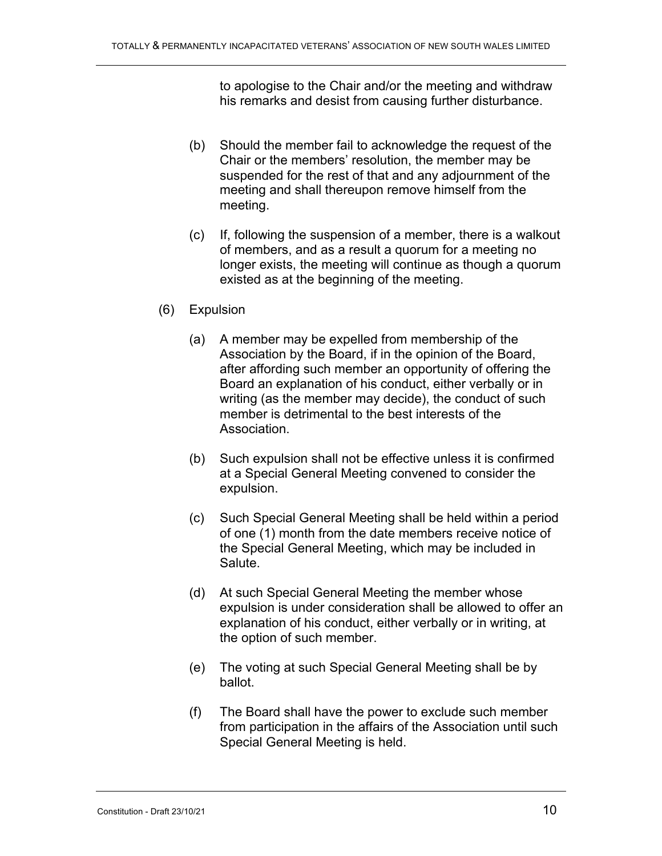to apologise to the Chair and/or the meeting and withdraw his remarks and desist from causing further disturbance.

- (b) Should the member fail to acknowledge the request of the Chair or the members' resolution, the member may be suspended for the rest of that and any adjournment of the meeting and shall thereupon remove himself from the meeting.
- (c) If, following the suspension of a member, there is a walkout of members, and as a result a quorum for a meeting no longer exists, the meeting will continue as though a quorum existed as at the beginning of the meeting.
- (6) Expulsion
	- (a) A member may be expelled from membership of the Association by the Board, if in the opinion of the Board, after affording such member an opportunity of offering the Board an explanation of his conduct, either verbally or in writing (as the member may decide), the conduct of such member is detrimental to the best interests of the Association.
	- (b) Such expulsion shall not be effective unless it is confirmed at a Special General Meeting convened to consider the expulsion.
	- (c) Such Special General Meeting shall be held within a period of one (1) month from the date members receive notice of the Special General Meeting, which may be included in Salute.
	- (d) At such Special General Meeting the member whose expulsion is under consideration shall be allowed to offer an explanation of his conduct, either verbally or in writing, at the option of such member.
	- (e) The voting at such Special General Meeting shall be by ballot.
	- (f) The Board shall have the power to exclude such member from participation in the affairs of the Association until such Special General Meeting is held.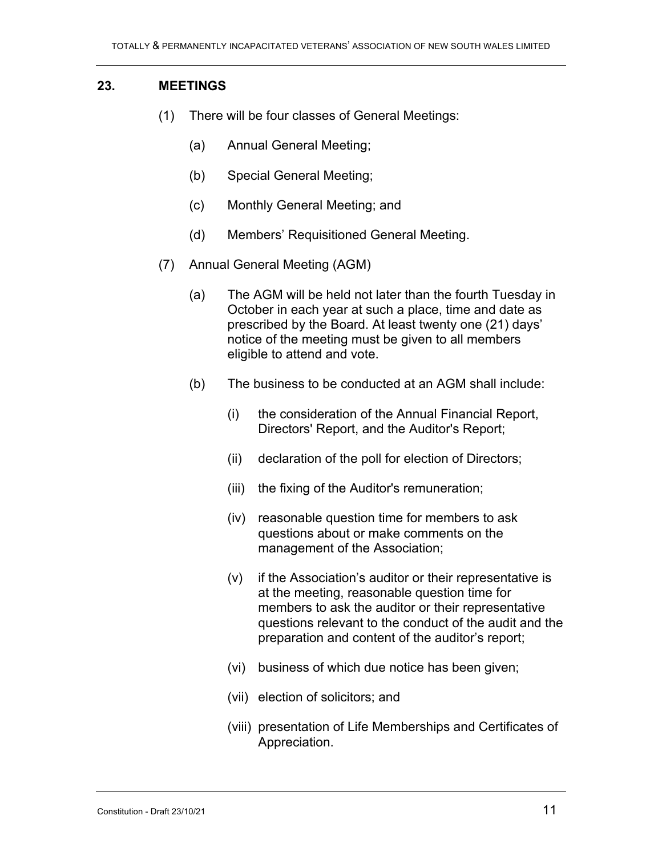### **23. MEETINGS**

- (1) There will be four classes of General Meetings:
	- (a) Annual General Meeting;
	- (b) Special General Meeting;
	- (c) Monthly General Meeting; and
	- (d) Members' Requisitioned General Meeting.
- (7) Annual General Meeting (AGM)
	- (a) The AGM will be held not later than the fourth Tuesday in October in each year at such a place, time and date as prescribed by the Board. At least twenty one (21) days' notice of the meeting must be given to all members eligible to attend and vote.
	- (b) The business to be conducted at an AGM shall include:
		- (i) the consideration of the Annual Financial Report, Directors' Report, and the Auditor's Report;
		- (ii) declaration of the poll for election of Directors;
		- (iii) the fixing of the Auditor's remuneration;
		- (iv) reasonable question time for members to ask questions about or make comments on the management of the Association;
		- (v) if the Association's auditor or their representative is at the meeting, reasonable question time for members to ask the auditor or their representative questions relevant to the conduct of the audit and the preparation and content of the auditor's report;
		- (vi) business of which due notice has been given;
		- (vii) election of solicitors; and
		- (viii) presentation of Life Memberships and Certificates of Appreciation.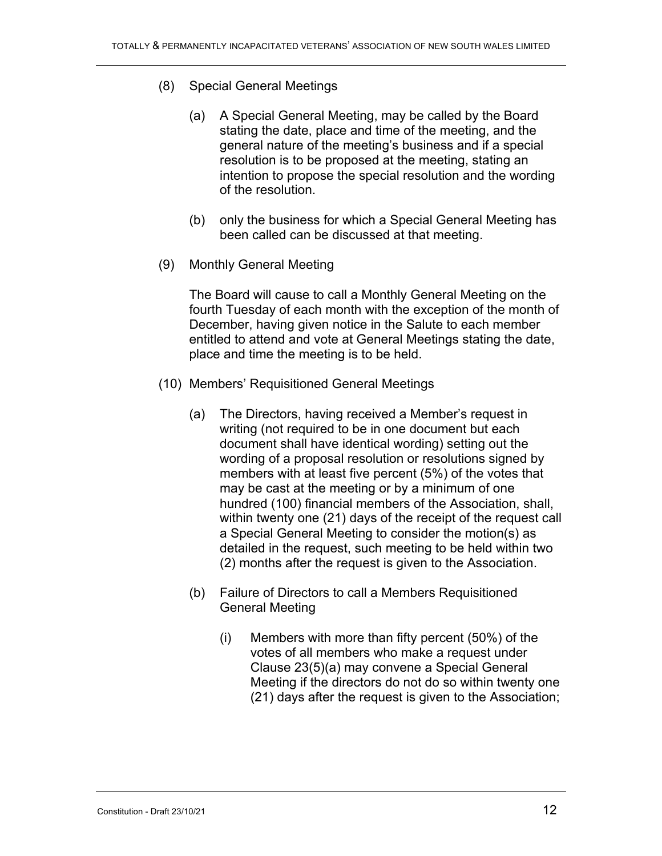- (8) Special General Meetings
	- (a) A Special General Meeting, may be called by the Board stating the date, place and time of the meeting, and the general nature of the meeting's business and if a special resolution is to be proposed at the meeting, stating an intention to propose the special resolution and the wording of the resolution.
	- (b) only the business for which a Special General Meeting has been called can be discussed at that meeting.
- (9) Monthly General Meeting

The Board will cause to call a Monthly General Meeting on the fourth Tuesday of each month with the exception of the month of December, having given notice in the Salute to each member entitled to attend and vote at General Meetings stating the date, place and time the meeting is to be held.

- (10) Members' Requisitioned General Meetings
	- (a) The Directors, having received a Member's request in writing (not required to be in one document but each document shall have identical wording) setting out the wording of a proposal resolution or resolutions signed by members with at least five percent (5%) of the votes that may be cast at the meeting or by a minimum of one hundred (100) financial members of the Association, shall, within twenty one (21) days of the receipt of the request call a Special General Meeting to consider the motion(s) as detailed in the request, such meeting to be held within two (2) months after the request is given to the Association.
	- (b) Failure of Directors to call a Members Requisitioned General Meeting
		- (i) Members with more than fifty percent (50%) of the votes of all members who make a request under Clause 23(5)(a) may convene a Special General Meeting if the directors do not do so within twenty one (21) days after the request is given to the Association;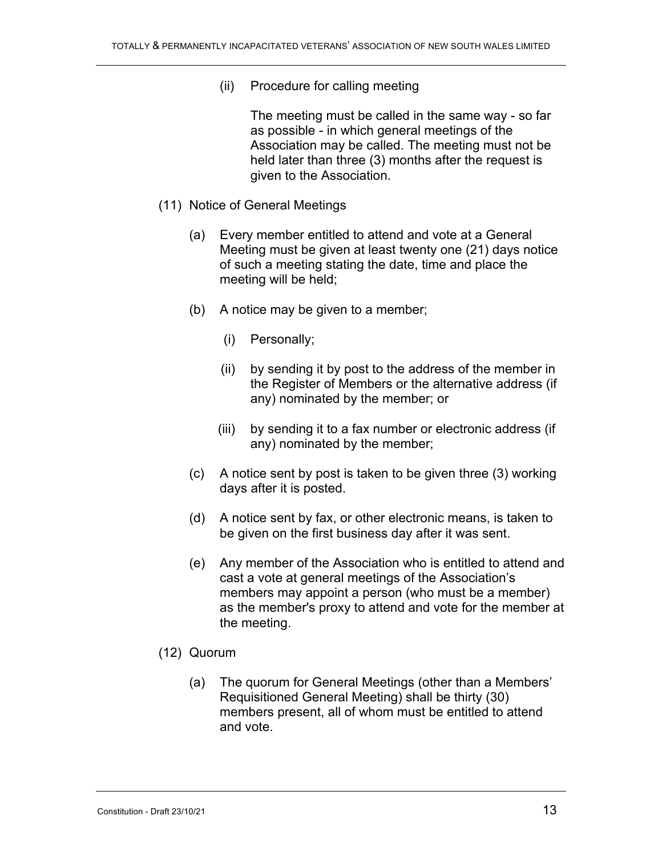(ii) Procedure for calling meeting

The meeting must be called in the same way - so far as possible - in which general meetings of the Association may be called. The meeting must not be held later than three (3) months after the request is given to the Association.

- (11) Notice of General Meetings
	- (a) Every member entitled to attend and vote at a General Meeting must be given at least twenty one (21) days notice of such a meeting stating the date, time and place the meeting will be held;
	- (b) A notice may be given to a member;
		- (i) Personally;
		- (ii) by sending it by post to the address of the member in the Register of Members or the alternative address (if any) nominated by the member; or
		- (iii) by sending it to a fax number or electronic address (if any) nominated by the member;
	- (c) A notice sent by post is taken to be given three (3) working days after it is posted.
	- (d) A notice sent by fax, or other electronic means, is taken to be given on the first business day after it was sent.
	- (e) Any member of the Association who is entitled to attend and cast a vote at general meetings of the Association's members may appoint a person (who must be a member) as the member's proxy to attend and vote for the member at the meeting.
- (12) Quorum
	- (a) The quorum for General Meetings (other than a Members' Requisitioned General Meeting) shall be thirty (30) members present, all of whom must be entitled to attend and vote.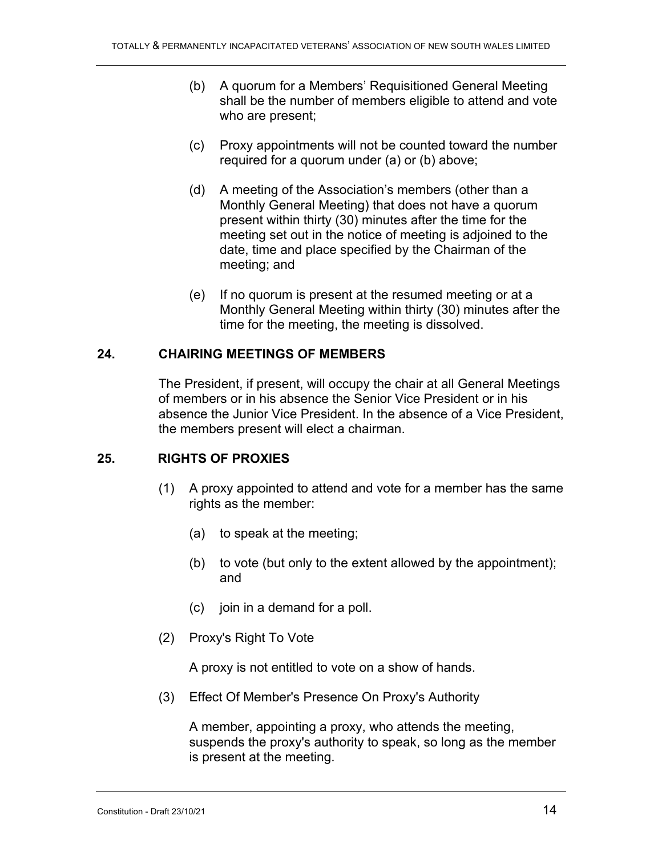- (b) A quorum for a Members' Requisitioned General Meeting shall be the number of members eligible to attend and vote who are present;
- (c) Proxy appointments will not be counted toward the number required for a quorum under (a) or (b) above;
- (d) A meeting of the Association's members (other than a Monthly General Meeting) that does not have a quorum present within thirty (30) minutes after the time for the meeting set out in the notice of meeting is adjoined to the date, time and place specified by the Chairman of the meeting; and
- (e) If no quorum is present at the resumed meeting or at a Monthly General Meeting within thirty (30) minutes after the time for the meeting, the meeting is dissolved.

### **24. CHAIRING MEETINGS OF MEMBERS**

The President, if present, will occupy the chair at all General Meetings of members or in his absence the Senior Vice President or in his absence the Junior Vice President. In the absence of a Vice President, the members present will elect a chairman.

### **25. RIGHTS OF PROXIES**

- (1) A proxy appointed to attend and vote for a member has the same rights as the member:
	- (a) to speak at the meeting;
	- (b) to vote (but only to the extent allowed by the appointment); and
	- (c) join in a demand for a poll.
- (2) Proxy's Right To Vote

A proxy is not entitled to vote on a show of hands.

(3) Effect Of Member's Presence On Proxy's Authority

A member, appointing a proxy, who attends the meeting, suspends the proxy's authority to speak, so long as the member is present at the meeting.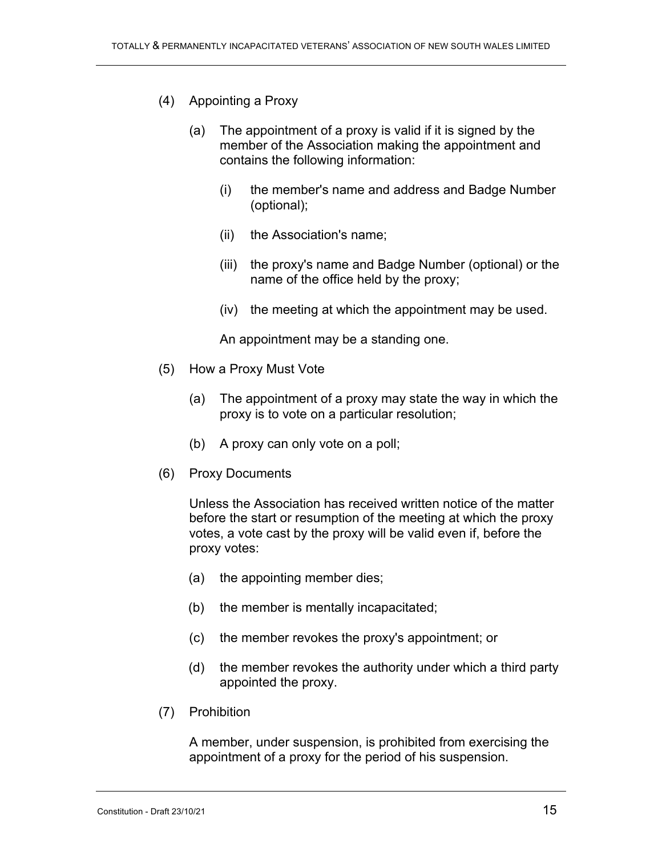- (4) Appointing a Proxy
	- (a) The appointment of a proxy is valid if it is signed by the member of the Association making the appointment and contains the following information:
		- (i) the member's name and address and Badge Number (optional);
		- (ii) the Association's name;
		- (iii) the proxy's name and Badge Number (optional) or the name of the office held by the proxy;
		- (iv) the meeting at which the appointment may be used.

An appointment may be a standing one.

- (5) How a Proxy Must Vote
	- (a) The appointment of a proxy may state the way in which the proxy is to vote on a particular resolution;
	- (b) A proxy can only vote on a poll;
- (6) Proxy Documents

Unless the Association has received written notice of the matter before the start or resumption of the meeting at which the proxy votes, a vote cast by the proxy will be valid even if, before the proxy votes:

- (a) the appointing member dies;
- (b) the member is mentally incapacitated;
- (c) the member revokes the proxy's appointment; or
- (d) the member revokes the authority under which a third party appointed the proxy.
- (7) Prohibition

A member, under suspension, is prohibited from exercising the appointment of a proxy for the period of his suspension.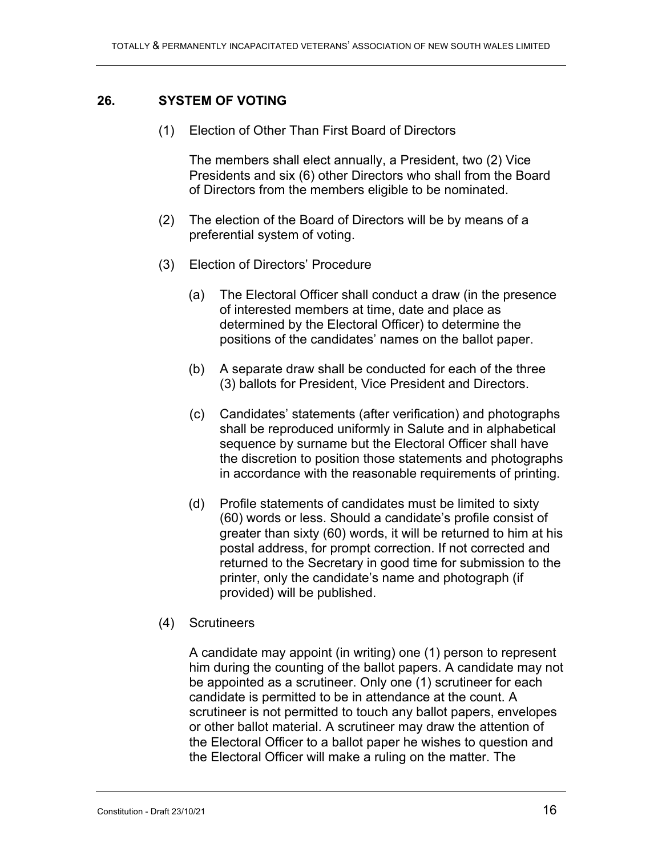### **26. SYSTEM OF VOTING**

(1) Election of Other Than First Board of Directors

The members shall elect annually, a President, two (2) Vice Presidents and six (6) other Directors who shall from the Board of Directors from the members eligible to be nominated.

- (2) The election of the Board of Directors will be by means of a preferential system of voting.
- (3) Election of Directors' Procedure
	- (a) The Electoral Officer shall conduct a draw (in the presence of interested members at time, date and place as determined by the Electoral Officer) to determine the positions of the candidates' names on the ballot paper.
	- (b) A separate draw shall be conducted for each of the three (3) ballots for President, Vice President and Directors.
	- (c) Candidates' statements (after verification) and photographs shall be reproduced uniformly in Salute and in alphabetical sequence by surname but the Electoral Officer shall have the discretion to position those statements and photographs in accordance with the reasonable requirements of printing.
	- (d) Profile statements of candidates must be limited to sixty (60) words or less. Should a candidate's profile consist of greater than sixty (60) words, it will be returned to him at his postal address, for prompt correction. If not corrected and returned to the Secretary in good time for submission to the printer, only the candidate's name and photograph (if provided) will be published.
- (4) Scrutineers

A candidate may appoint (in writing) one (1) person to represent him during the counting of the ballot papers. A candidate may not be appointed as a scrutineer. Only one (1) scrutineer for each candidate is permitted to be in attendance at the count. A scrutineer is not permitted to touch any ballot papers, envelopes or other ballot material. A scrutineer may draw the attention of the Electoral Officer to a ballot paper he wishes to question and the Electoral Officer will make a ruling on the matter. The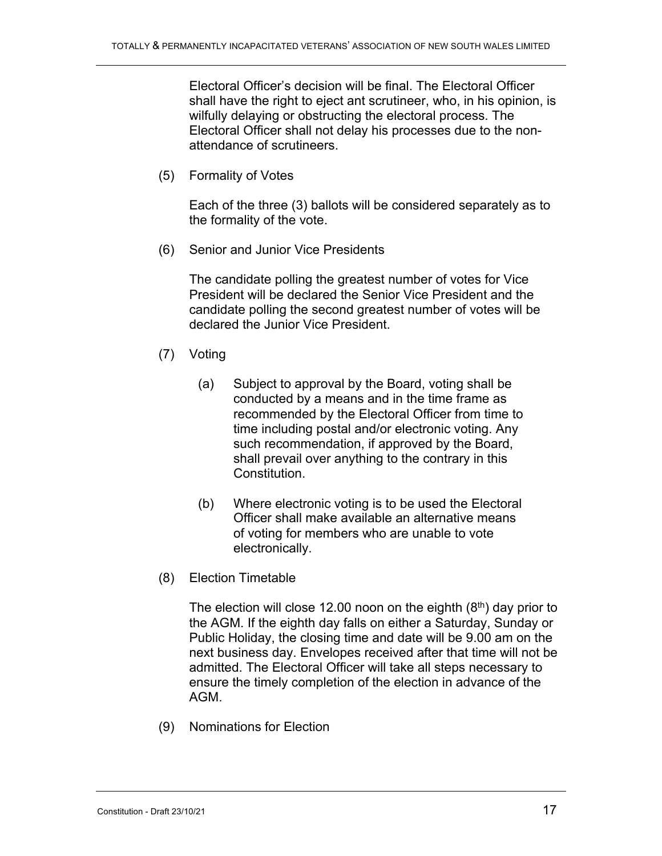Electoral Officer's decision will be final. The Electoral Officer shall have the right to eject ant scrutineer, who, in his opinion, is wilfully delaying or obstructing the electoral process. The Electoral Officer shall not delay his processes due to the nonattendance of scrutineers.

(5) Formality of Votes

Each of the three (3) ballots will be considered separately as to the formality of the vote.

(6) Senior and Junior Vice Presidents

The candidate polling the greatest number of votes for Vice President will be declared the Senior Vice President and the candidate polling the second greatest number of votes will be declared the Junior Vice President.

- (7) Voting
	- (a) Subject to approval by the Board, voting shall be conducted by a means and in the time frame as recommended by the Electoral Officer from time to time including postal and/or electronic voting. Any such recommendation, if approved by the Board, shall prevail over anything to the contrary in this Constitution.
	- (b) Where electronic voting is to be used the Electoral Officer shall make available an alternative means of voting for members who are unable to vote electronically.
- (8) Election Timetable

The election will close 12.00 noon on the eighth  $(8<sup>th</sup>)$  day prior to the AGM. If the eighth day falls on either a Saturday, Sunday or Public Holiday, the closing time and date will be 9.00 am on the next business day. Envelopes received after that time will not be admitted. The Electoral Officer will take all steps necessary to ensure the timely completion of the election in advance of the AGM.

(9) Nominations for Election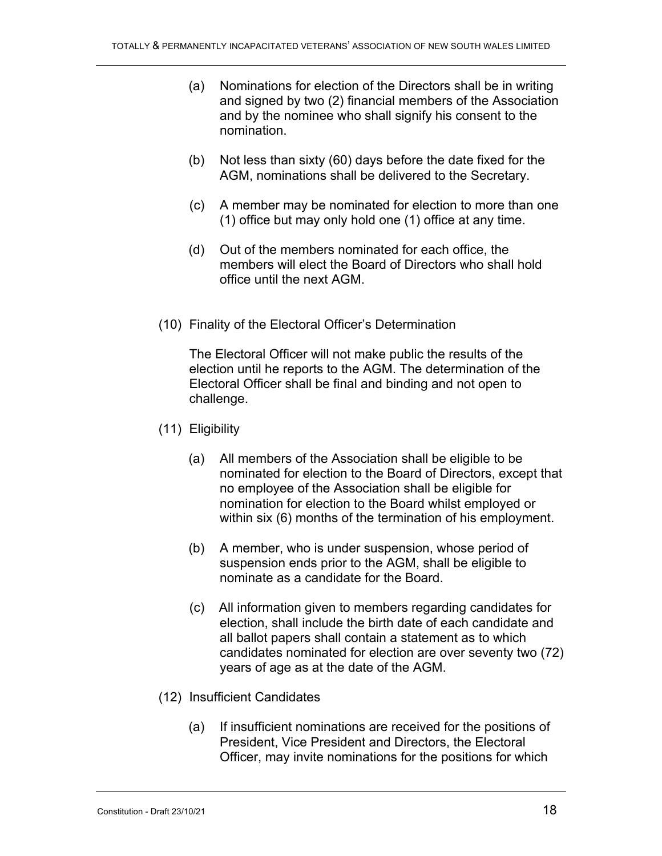- (a) Nominations for election of the Directors shall be in writing and signed by two (2) financial members of the Association and by the nominee who shall signify his consent to the nomination.
- (b) Not less than sixty (60) days before the date fixed for the AGM, nominations shall be delivered to the Secretary.
- (c) A member may be nominated for election to more than one (1) office but may only hold one (1) office at any time.
- (d) Out of the members nominated for each office, the members will elect the Board of Directors who shall hold office until the next AGM.
- (10) Finality of the Electoral Officer's Determination

The Electoral Officer will not make public the results of the election until he reports to the AGM. The determination of the Electoral Officer shall be final and binding and not open to challenge.

- (11) Eligibility
	- (a) All members of the Association shall be eligible to be nominated for election to the Board of Directors, except that no employee of the Association shall be eligible for nomination for election to the Board whilst employed or within six (6) months of the termination of his employment.
	- (b) A member, who is under suspension, whose period of suspension ends prior to the AGM, shall be eligible to nominate as a candidate for the Board.
	- (c) All information given to members regarding candidates for election, shall include the birth date of each candidate and all ballot papers shall contain a statement as to which candidates nominated for election are over seventy two (72) years of age as at the date of the AGM.
- (12) Insufficient Candidates
	- (a) If insufficient nominations are received for the positions of President, Vice President and Directors, the Electoral Officer, may invite nominations for the positions for which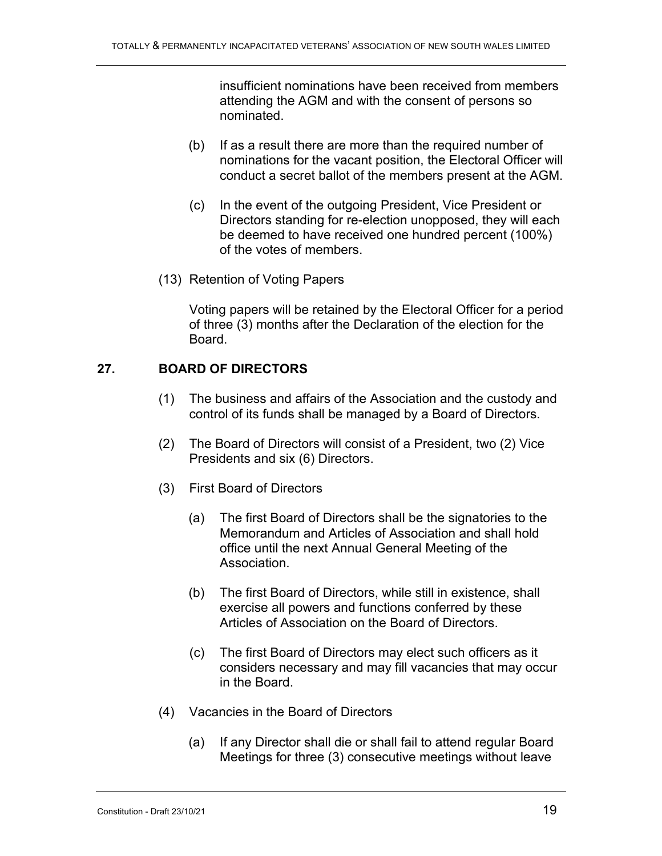insufficient nominations have been received from members attending the AGM and with the consent of persons so nominated.

- (b) If as a result there are more than the required number of nominations for the vacant position, the Electoral Officer will conduct a secret ballot of the members present at the AGM.
- (c) In the event of the outgoing President, Vice President or Directors standing for re-election unopposed, they will each be deemed to have received one hundred percent (100%) of the votes of members.
- (13) Retention of Voting Papers

Voting papers will be retained by the Electoral Officer for a period of three (3) months after the Declaration of the election for the Board.

### **27. BOARD OF DIRECTORS**

- (1) The business and affairs of the Association and the custody and control of its funds shall be managed by a Board of Directors.
- (2) The Board of Directors will consist of a President, two (2) Vice Presidents and six (6) Directors.
- (3) First Board of Directors
	- (a) The first Board of Directors shall be the signatories to the Memorandum and Articles of Association and shall hold office until the next Annual General Meeting of the Association.
	- (b) The first Board of Directors, while still in existence, shall exercise all powers and functions conferred by these Articles of Association on the Board of Directors.
	- (c) The first Board of Directors may elect such officers as it considers necessary and may fill vacancies that may occur in the Board.
- (4) Vacancies in the Board of Directors
	- (a) If any Director shall die or shall fail to attend regular Board Meetings for three (3) consecutive meetings without leave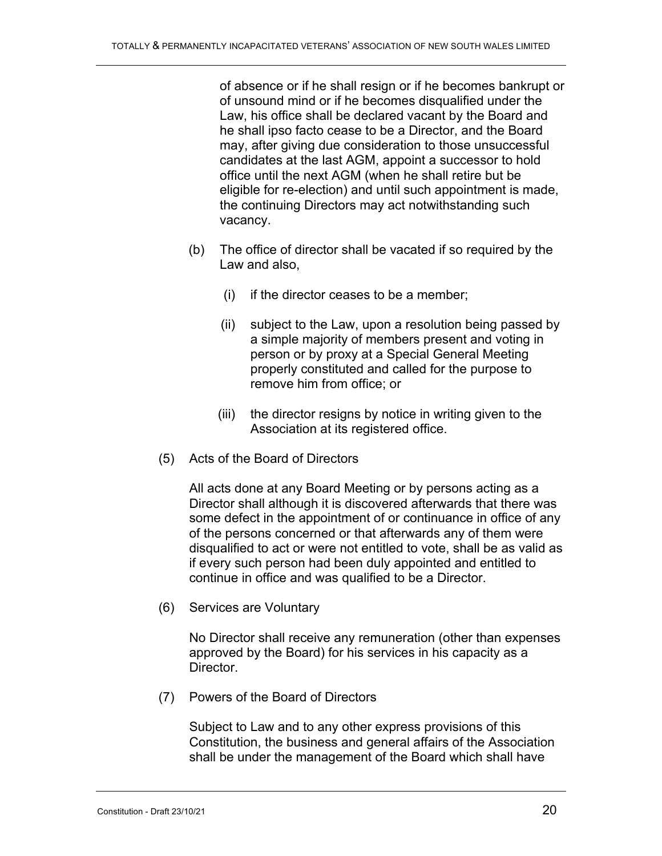of absence or if he shall resign or if he becomes bankrupt or of unsound mind or if he becomes disqualified under the Law, his office shall be declared vacant by the Board and he shall ipso facto cease to be a Director, and the Board may, after giving due consideration to those unsuccessful candidates at the last AGM, appoint a successor to hold office until the next AGM (when he shall retire but be eligible for re-election) and until such appointment is made, the continuing Directors may act notwithstanding such vacancy.

- (b) The office of director shall be vacated if so required by the Law and also,
	- (i) if the director ceases to be a member;
	- (ii) subject to the Law, upon a resolution being passed by a simple majority of members present and voting in person or by proxy at a Special General Meeting properly constituted and called for the purpose to remove him from office; or
	- (iii) the director resigns by notice in writing given to the Association at its registered office.
- (5) Acts of the Board of Directors

All acts done at any Board Meeting or by persons acting as a Director shall although it is discovered afterwards that there was some defect in the appointment of or continuance in office of any of the persons concerned or that afterwards any of them were disqualified to act or were not entitled to vote, shall be as valid as if every such person had been duly appointed and entitled to continue in office and was qualified to be a Director.

(6) Services are Voluntary

No Director shall receive any remuneration (other than expenses approved by the Board) for his services in his capacity as a Director.

(7) Powers of the Board of Directors

Subject to Law and to any other express provisions of this Constitution, the business and general affairs of the Association shall be under the management of the Board which shall have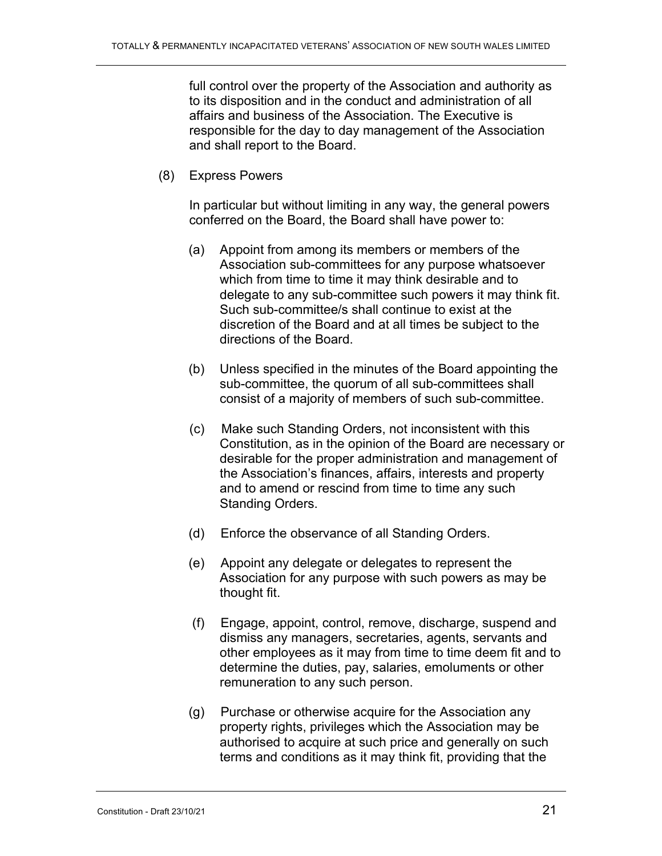full control over the property of the Association and authority as to its disposition and in the conduct and administration of all affairs and business of the Association. The Executive is responsible for the day to day management of the Association and shall report to the Board.

(8) Express Powers

In particular but without limiting in any way, the general powers conferred on the Board, the Board shall have power to:

- (a) Appoint from among its members or members of the Association sub-committees for any purpose whatsoever which from time to time it may think desirable and to delegate to any sub-committee such powers it may think fit. Such sub-committee/s shall continue to exist at the discretion of the Board and at all times be subject to the directions of the Board.
- (b) Unless specified in the minutes of the Board appointing the sub-committee, the quorum of all sub-committees shall consist of a majority of members of such sub-committee.
- (c) Make such Standing Orders, not inconsistent with this Constitution, as in the opinion of the Board are necessary or desirable for the proper administration and management of the Association's finances, affairs, interests and property and to amend or rescind from time to time any such Standing Orders.
- (d) Enforce the observance of all Standing Orders.
- (e) Appoint any delegate or delegates to represent the Association for any purpose with such powers as may be thought fit.
- (f) Engage, appoint, control, remove, discharge, suspend and dismiss any managers, secretaries, agents, servants and other employees as it may from time to time deem fit and to determine the duties, pay, salaries, emoluments or other remuneration to any such person.
- (g) Purchase or otherwise acquire for the Association any property rights, privileges which the Association may be authorised to acquire at such price and generally on such terms and conditions as it may think fit, providing that the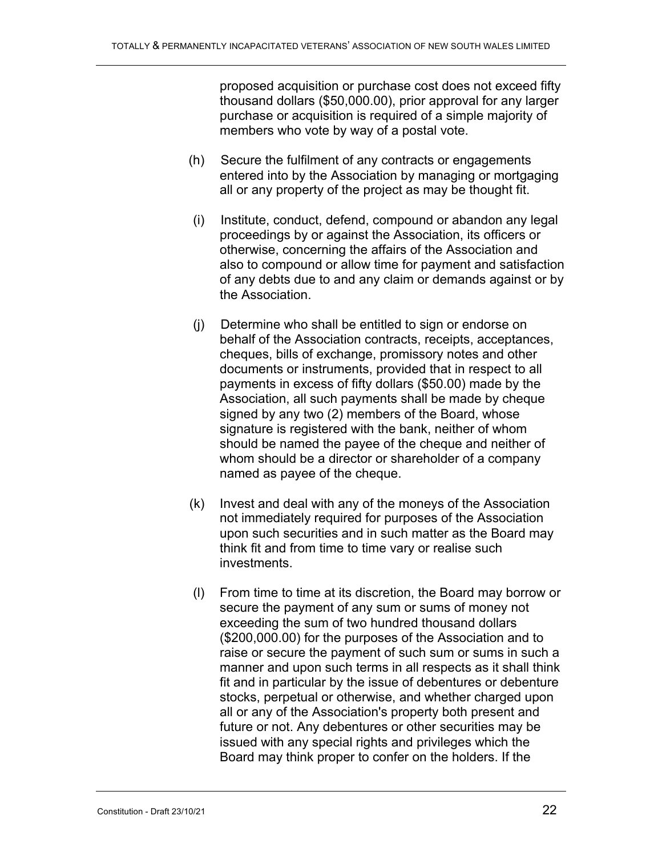proposed acquisition or purchase cost does not exceed fifty thousand dollars (\$50,000.00), prior approval for any larger purchase or acquisition is required of a simple majority of members who vote by way of a postal vote.

- (h) Secure the fulfilment of any contracts or engagements entered into by the Association by managing or mortgaging all or any property of the project as may be thought fit.
- (i) Institute, conduct, defend, compound or abandon any legal proceedings by or against the Association, its officers or otherwise, concerning the affairs of the Association and also to compound or allow time for payment and satisfaction of any debts due to and any claim or demands against or by the Association.
- (j) Determine who shall be entitled to sign or endorse on behalf of the Association contracts, receipts, acceptances, cheques, bills of exchange, promissory notes and other documents or instruments, provided that in respect to all payments in excess of fifty dollars (\$50.00) made by the Association, all such payments shall be made by cheque signed by any two (2) members of the Board, whose signature is registered with the bank, neither of whom should be named the payee of the cheque and neither of whom should be a director or shareholder of a company named as payee of the cheque.
- (k) Invest and deal with any of the moneys of the Association not immediately required for purposes of the Association upon such securities and in such matter as the Board may think fit and from time to time vary or realise such investments.
- (l) From time to time at its discretion, the Board may borrow or secure the payment of any sum or sums of money not exceeding the sum of two hundred thousand dollars (\$200,000.00) for the purposes of the Association and to raise or secure the payment of such sum or sums in such a manner and upon such terms in all respects as it shall think fit and in particular by the issue of debentures or debenture stocks, perpetual or otherwise, and whether charged upon all or any of the Association's property both present and future or not. Any debentures or other securities may be issued with any special rights and privileges which the Board may think proper to confer on the holders. If the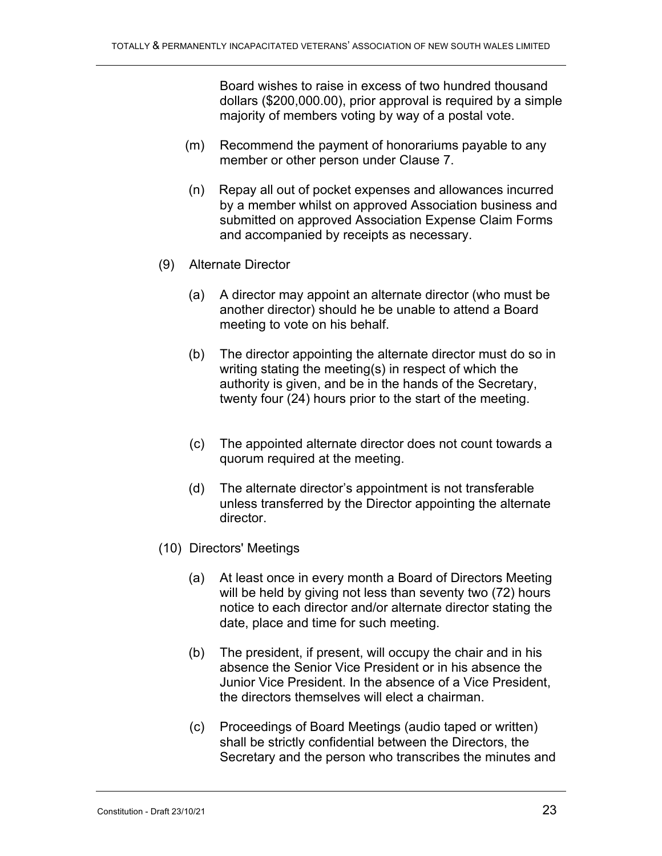Board wishes to raise in excess of two hundred thousand dollars (\$200,000.00), prior approval is required by a simple majority of members voting by way of a postal vote.

- (m) Recommend the payment of honorariums payable to any member or other person under Clause 7.
- (n) Repay all out of pocket expenses and allowances incurred by a member whilst on approved Association business and submitted on approved Association Expense Claim Forms and accompanied by receipts as necessary.
- (9) Alternate Director
	- (a) A director may appoint an alternate director (who must be another director) should he be unable to attend a Board meeting to vote on his behalf.
	- (b) The director appointing the alternate director must do so in writing stating the meeting(s) in respect of which the authority is given, and be in the hands of the Secretary, twenty four (24) hours prior to the start of the meeting.
	- (c) The appointed alternate director does not count towards a quorum required at the meeting.
	- (d) The alternate director's appointment is not transferable unless transferred by the Director appointing the alternate director.
- (10) Directors' Meetings
	- (a) At least once in every month a Board of Directors Meeting will be held by giving not less than seventy two (72) hours notice to each director and/or alternate director stating the date, place and time for such meeting.
	- (b) The president, if present, will occupy the chair and in his absence the Senior Vice President or in his absence the Junior Vice President. In the absence of a Vice President, the directors themselves will elect a chairman.
	- (c) Proceedings of Board Meetings (audio taped or written) shall be strictly confidential between the Directors, the Secretary and the person who transcribes the minutes and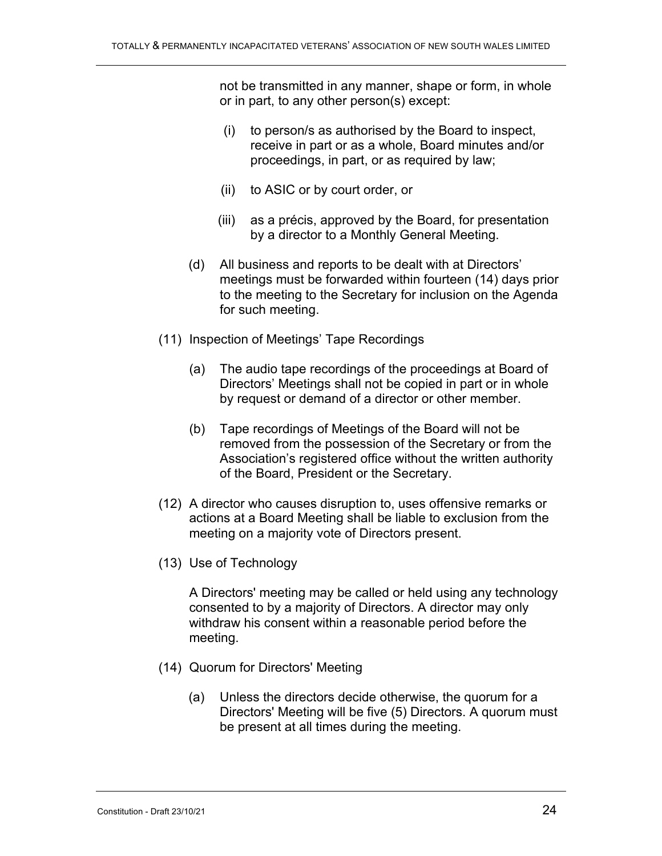not be transmitted in any manner, shape or form, in whole or in part, to any other person(s) except:

- (i) to person/s as authorised by the Board to inspect, receive in part or as a whole, Board minutes and/or proceedings, in part, or as required by law;
- (ii) to ASIC or by court order, or
- (iii) as a précis, approved by the Board, for presentation by a director to a Monthly General Meeting.
- (d) All business and reports to be dealt with at Directors' meetings must be forwarded within fourteen (14) days prior to the meeting to the Secretary for inclusion on the Agenda for such meeting.
- (11) Inspection of Meetings' Tape Recordings
	- (a) The audio tape recordings of the proceedings at Board of Directors' Meetings shall not be copied in part or in whole by request or demand of a director or other member.
	- (b) Tape recordings of Meetings of the Board will not be removed from the possession of the Secretary or from the Association's registered office without the written authority of the Board, President or the Secretary.
- (12) A director who causes disruption to, uses offensive remarks or actions at a Board Meeting shall be liable to exclusion from the meeting on a majority vote of Directors present.
- (13) Use of Technology

A Directors' meeting may be called or held using any technology consented to by a majority of Directors. A director may only withdraw his consent within a reasonable period before the meeting.

- (14) Quorum for Directors' Meeting
	- (a) Unless the directors decide otherwise, the quorum for a Directors' Meeting will be five (5) Directors. A quorum must be present at all times during the meeting.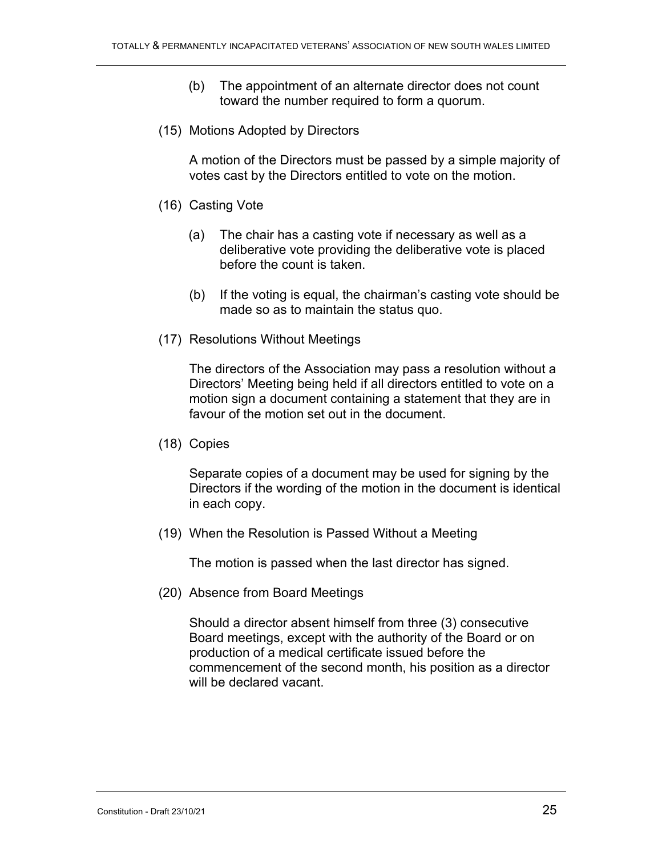- (b) The appointment of an alternate director does not count toward the number required to form a quorum.
- (15) Motions Adopted by Directors

A motion of the Directors must be passed by a simple majority of votes cast by the Directors entitled to vote on the motion.

- (16) Casting Vote
	- (a) The chair has a casting vote if necessary as well as a deliberative vote providing the deliberative vote is placed before the count is taken.
	- (b) If the voting is equal, the chairman's casting vote should be made so as to maintain the status quo.
- (17) Resolutions Without Meetings

The directors of the Association may pass a resolution without a Directors' Meeting being held if all directors entitled to vote on a motion sign a document containing a statement that they are in favour of the motion set out in the document.

(18) Copies

Separate copies of a document may be used for signing by the Directors if the wording of the motion in the document is identical in each copy.

(19) When the Resolution is Passed Without a Meeting

The motion is passed when the last director has signed.

(20) Absence from Board Meetings

Should a director absent himself from three (3) consecutive Board meetings, except with the authority of the Board or on production of a medical certificate issued before the commencement of the second month, his position as a director will be declared vacant.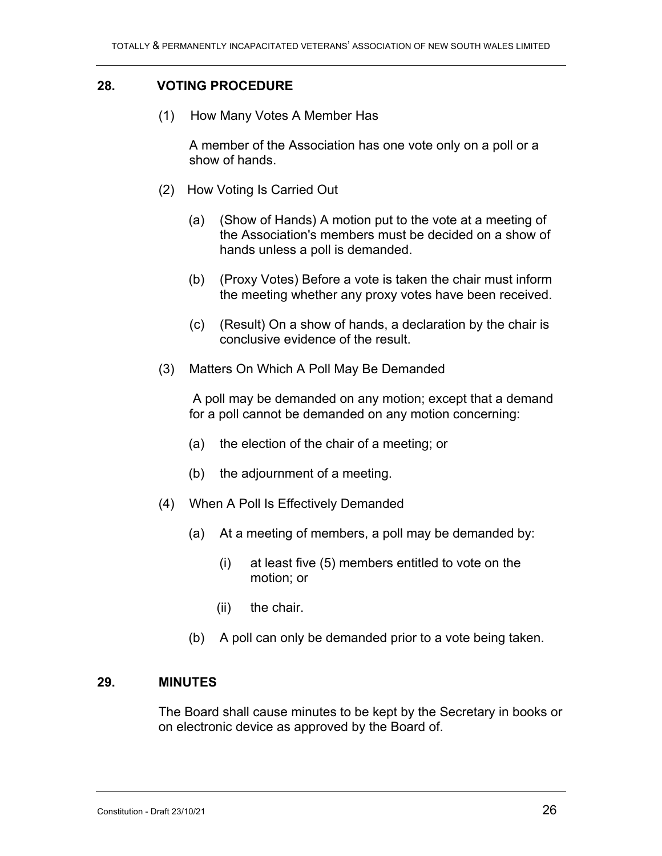### **28. VOTING PROCEDURE**

(1) How Many Votes A Member Has

A member of the Association has one vote only on a poll or a show of hands.

- (2) How Voting Is Carried Out
	- (a) (Show of Hands) A motion put to the vote at a meeting of the Association's members must be decided on a show of hands unless a poll is demanded.
	- (b) (Proxy Votes) Before a vote is taken the chair must inform the meeting whether any proxy votes have been received.
	- (c) (Result) On a show of hands, a declaration by the chair is conclusive evidence of the result.
- (3) Matters On Which A Poll May Be Demanded

A poll may be demanded on any motion; except that a demand for a poll cannot be demanded on any motion concerning:

- (a) the election of the chair of a meeting; or
- (b) the adjournment of a meeting.
- (4) When A Poll Is Effectively Demanded
	- (a) At a meeting of members, a poll may be demanded by:
		- (i) at least five (5) members entitled to vote on the motion; or
		- (ii) the chair.
	- (b) A poll can only be demanded prior to a vote being taken.

### **29. MINUTES**

The Board shall cause minutes to be kept by the Secretary in books or on electronic device as approved by the Board of.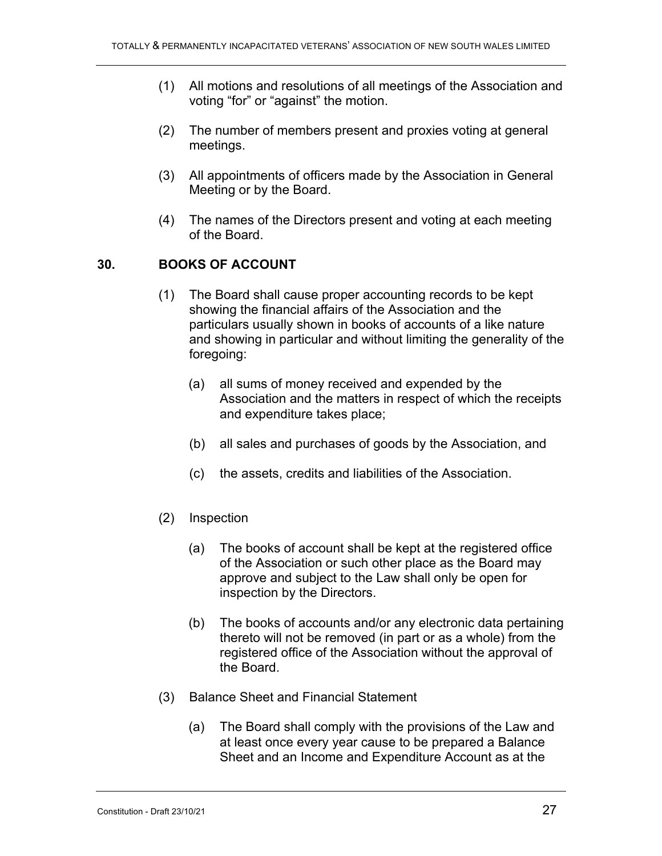- (1) All motions and resolutions of all meetings of the Association and voting "for" or "against" the motion.
- (2) The number of members present and proxies voting at general meetings.
- (3) All appointments of officers made by the Association in General Meeting or by the Board.
- (4) The names of the Directors present and voting at each meeting of the Board.

## **30. BOOKS OF ACCOUNT**

- (1) The Board shall cause proper accounting records to be kept showing the financial affairs of the Association and the particulars usually shown in books of accounts of a like nature and showing in particular and without limiting the generality of the foregoing:
	- (a) all sums of money received and expended by the Association and the matters in respect of which the receipts and expenditure takes place;
	- (b) all sales and purchases of goods by the Association, and
	- (c) the assets, credits and liabilities of the Association.
- (2) Inspection
	- (a) The books of account shall be kept at the registered office of the Association or such other place as the Board may approve and subject to the Law shall only be open for inspection by the Directors.
	- (b) The books of accounts and/or any electronic data pertaining thereto will not be removed (in part or as a whole) from the registered office of the Association without the approval of the Board.
- (3) Balance Sheet and Financial Statement
	- (a) The Board shall comply with the provisions of the Law and at least once every year cause to be prepared a Balance Sheet and an Income and Expenditure Account as at the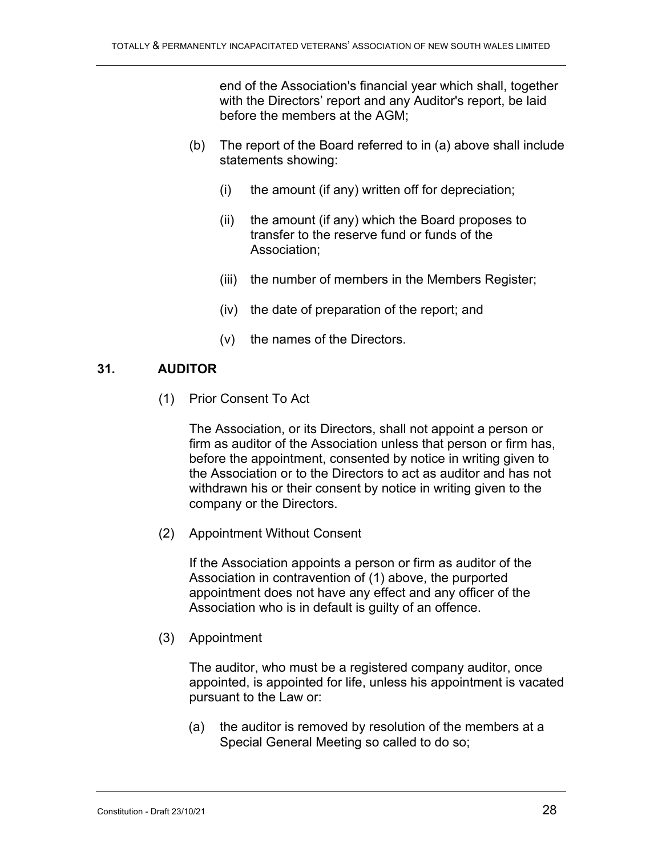end of the Association's financial year which shall, together with the Directors' report and any Auditor's report, be laid before the members at the AGM;

- (b) The report of the Board referred to in (a) above shall include statements showing:
	- (i) the amount (if any) written off for depreciation;
	- (ii) the amount (if any) which the Board proposes to transfer to the reserve fund or funds of the Association;
	- (iii) the number of members in the Members Register;
	- (iv) the date of preparation of the report; and
	- (v) the names of the Directors.

### **31. AUDITOR**

(1) Prior Consent To Act

The Association, or its Directors, shall not appoint a person or firm as auditor of the Association unless that person or firm has, before the appointment, consented by notice in writing given to the Association or to the Directors to act as auditor and has not withdrawn his or their consent by notice in writing given to the company or the Directors.

(2) Appointment Without Consent

If the Association appoints a person or firm as auditor of the Association in contravention of (1) above, the purported appointment does not have any effect and any officer of the Association who is in default is guilty of an offence.

(3) Appointment

The auditor, who must be a registered company auditor, once appointed, is appointed for life, unless his appointment is vacated pursuant to the Law or:

(a) the auditor is removed by resolution of the members at a Special General Meeting so called to do so;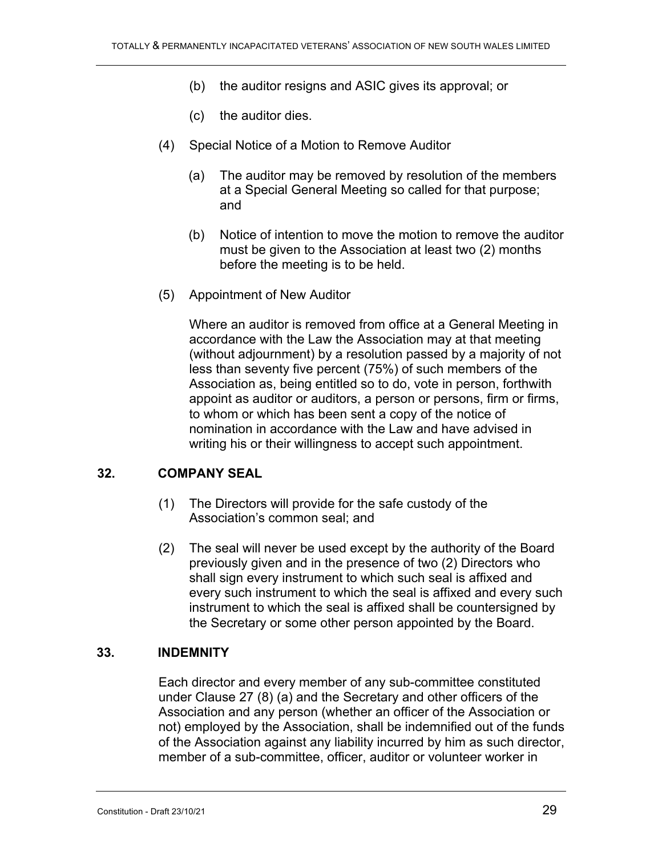- (b) the auditor resigns and ASIC gives its approval; or
- (c) the auditor dies.
- (4) Special Notice of a Motion to Remove Auditor
	- (a) The auditor may be removed by resolution of the members at a Special General Meeting so called for that purpose; and
	- (b) Notice of intention to move the motion to remove the auditor must be given to the Association at least two (2) months before the meeting is to be held.
- (5) Appointment of New Auditor

Where an auditor is removed from office at a General Meeting in accordance with the Law the Association may at that meeting (without adjournment) by a resolution passed by a majority of not less than seventy five percent (75%) of such members of the Association as, being entitled so to do, vote in person, forthwith appoint as auditor or auditors, a person or persons, firm or firms, to whom or which has been sent a copy of the notice of nomination in accordance with the Law and have advised in writing his or their willingness to accept such appointment.

#### **32. COMPANY SEAL**

- (1) The Directors will provide for the safe custody of the Association's common seal; and
- (2) The seal will never be used except by the authority of the Board previously given and in the presence of two (2) Directors who shall sign every instrument to which such seal is affixed and every such instrument to which the seal is affixed and every such instrument to which the seal is affixed shall be countersigned by the Secretary or some other person appointed by the Board.

#### **33. INDEMNITY**

Each director and every member of any sub-committee constituted under Clause 27 (8) (a) and the Secretary and other officers of the Association and any person (whether an officer of the Association or not) employed by the Association, shall be indemnified out of the funds of the Association against any liability incurred by him as such director, member of a sub-committee, officer, auditor or volunteer worker in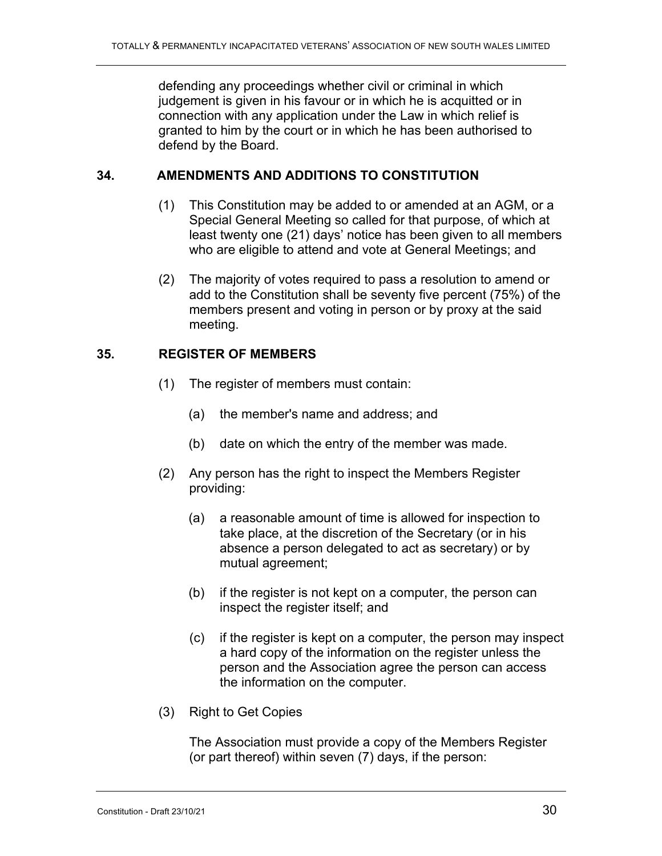defending any proceedings whether civil or criminal in which judgement is given in his favour or in which he is acquitted or in connection with any application under the Law in which relief is granted to him by the court or in which he has been authorised to defend by the Board.

### **34. AMENDMENTS AND ADDITIONS TO CONSTITUTION**

- (1) This Constitution may be added to or amended at an AGM, or a Special General Meeting so called for that purpose, of which at least twenty one (21) days' notice has been given to all members who are eligible to attend and vote at General Meetings; and
- (2) The majority of votes required to pass a resolution to amend or add to the Constitution shall be seventy five percent (75%) of the members present and voting in person or by proxy at the said meeting.

### **35. REGISTER OF MEMBERS**

- (1) The register of members must contain:
	- (a) the member's name and address; and
	- (b) date on which the entry of the member was made.
- (2) Any person has the right to inspect the Members Register providing:
	- (a) a reasonable amount of time is allowed for inspection to take place, at the discretion of the Secretary (or in his absence a person delegated to act as secretary) or by mutual agreement;
	- (b) if the register is not kept on a computer, the person can inspect the register itself; and
	- (c) if the register is kept on a computer, the person may inspect a hard copy of the information on the register unless the person and the Association agree the person can access the information on the computer.
- (3) Right to Get Copies

The Association must provide a copy of the Members Register (or part thereof) within seven (7) days, if the person: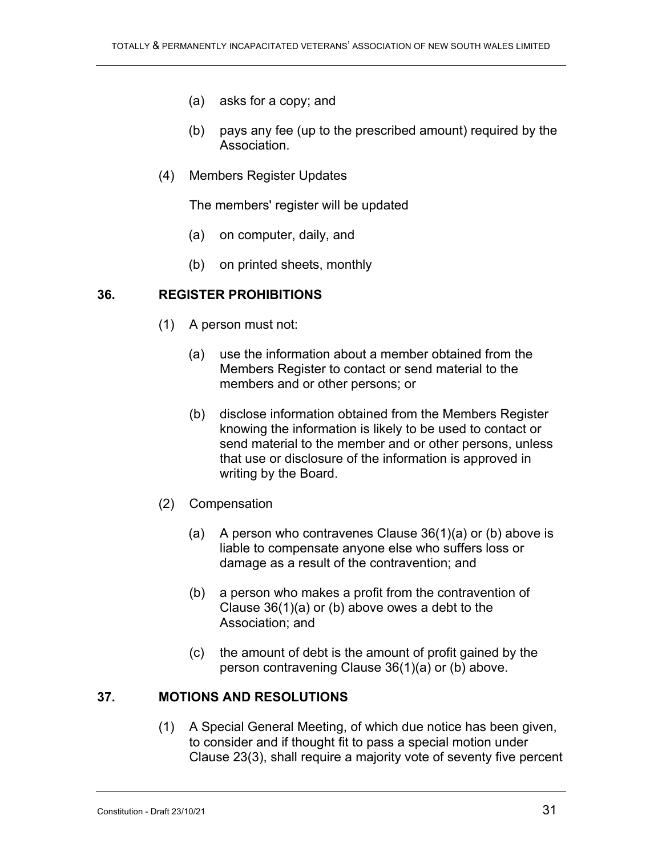- (a) asks for a copy; and
- (b) pays any fee (up to the prescribed amount) required by the Association.
- (4) Members Register Updates

The members' register will be updated

- (a) on computer, daily, and
- (b) on printed sheets, monthly

### **36. REGISTER PROHIBITIONS**

- (1) A person must not:
	- (a) use the information about a member obtained from the Members Register to contact or send material to the members and or other persons; or
	- (b) disclose information obtained from the Members Register knowing the information is likely to be used to contact or send material to the member and or other persons, unless that use or disclosure of the information is approved in writing by the Board.
- (2) Compensation
	- (a) A person who contravenes Clause  $36(1)(a)$  or (b) above is liable to compensate anyone else who suffers loss or damage as a result of the contravention; and
	- (b) a person who makes a profit from the contravention of Clause 36(1)(a) or (b) above owes a debt to the Association; and
	- (c) the amount of debt is the amount of profit gained by the person contravening Clause 36(1)(a) or (b) above.

### **37. MOTIONS AND RESOLUTIONS**

(1) A Special General Meeting, of which due notice has been given, to consider and if thought fit to pass a special motion under Clause 23(3), shall require a majority vote of seventy five percent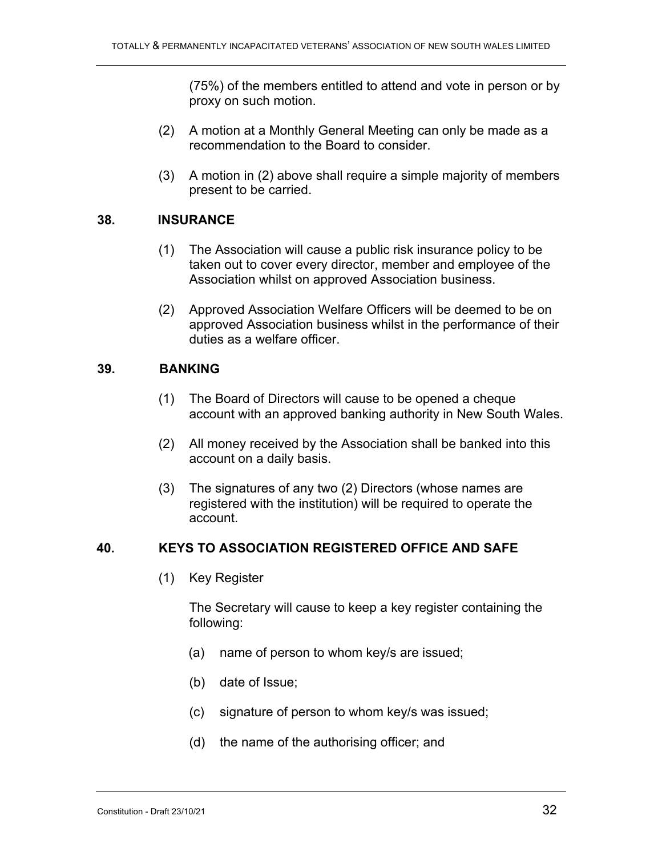(75%) of the members entitled to attend and vote in person or by proxy on such motion.

- (2) A motion at a Monthly General Meeting can only be made as a recommendation to the Board to consider.
- (3) A motion in (2) above shall require a simple majority of members present to be carried.

#### **38. INSURANCE**

- (1) The Association will cause a public risk insurance policy to be taken out to cover every director, member and employee of the Association whilst on approved Association business.
- (2) Approved Association Welfare Officers will be deemed to be on approved Association business whilst in the performance of their duties as a welfare officer.

#### **39. BANKING**

- (1) The Board of Directors will cause to be opened a cheque account with an approved banking authority in New South Wales.
- (2) All money received by the Association shall be banked into this account on a daily basis.
- (3) The signatures of any two (2) Directors (whose names are registered with the institution) will be required to operate the account.

#### **40. KEYS TO ASSOCIATION REGISTERED OFFICE AND SAFE**

(1) Key Register

The Secretary will cause to keep a key register containing the following:

- (a) name of person to whom key/s are issued;
- (b) date of Issue;
- (c) signature of person to whom key/s was issued;
- (d) the name of the authorising officer; and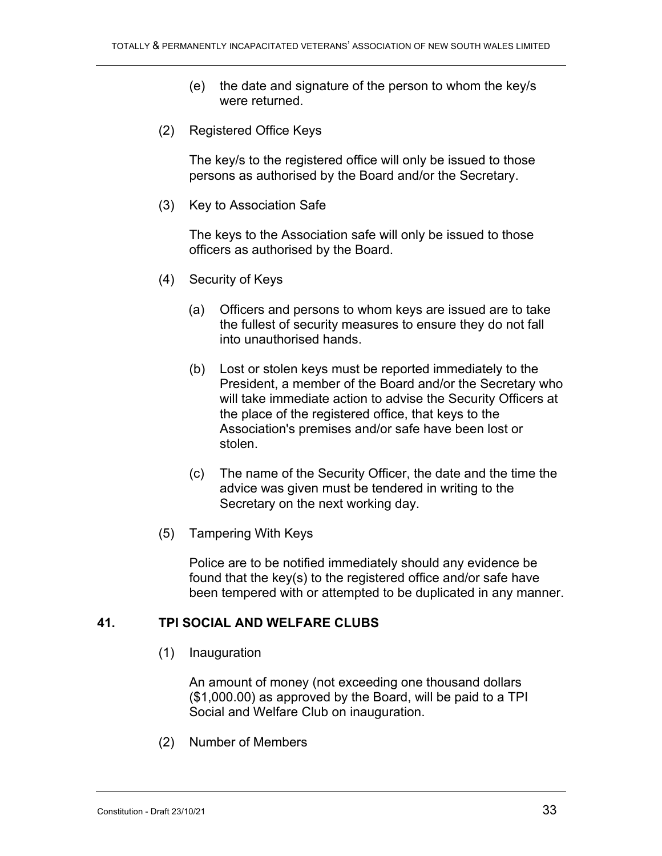- (e) the date and signature of the person to whom the key/s were returned.
- (2) Registered Office Keys

The key/s to the registered office will only be issued to those persons as authorised by the Board and/or the Secretary.

(3) Key to Association Safe

The keys to the Association safe will only be issued to those officers as authorised by the Board.

- (4) Security of Keys
	- (a) Officers and persons to whom keys are issued are to take the fullest of security measures to ensure they do not fall into unauthorised hands.
	- (b) Lost or stolen keys must be reported immediately to the President, a member of the Board and/or the Secretary who will take immediate action to advise the Security Officers at the place of the registered office, that keys to the Association's premises and/or safe have been lost or stolen.
	- (c) The name of the Security Officer, the date and the time the advice was given must be tendered in writing to the Secretary on the next working day.
- (5) Tampering With Keys

Police are to be notified immediately should any evidence be found that the key(s) to the registered office and/or safe have been tempered with or attempted to be duplicated in any manner.

#### **41. TPI SOCIAL AND WELFARE CLUBS**

(1) Inauguration

An amount of money (not exceeding one thousand dollars (\$1,000.00) as approved by the Board, will be paid to a TPI Social and Welfare Club on inauguration.

(2) Number of Members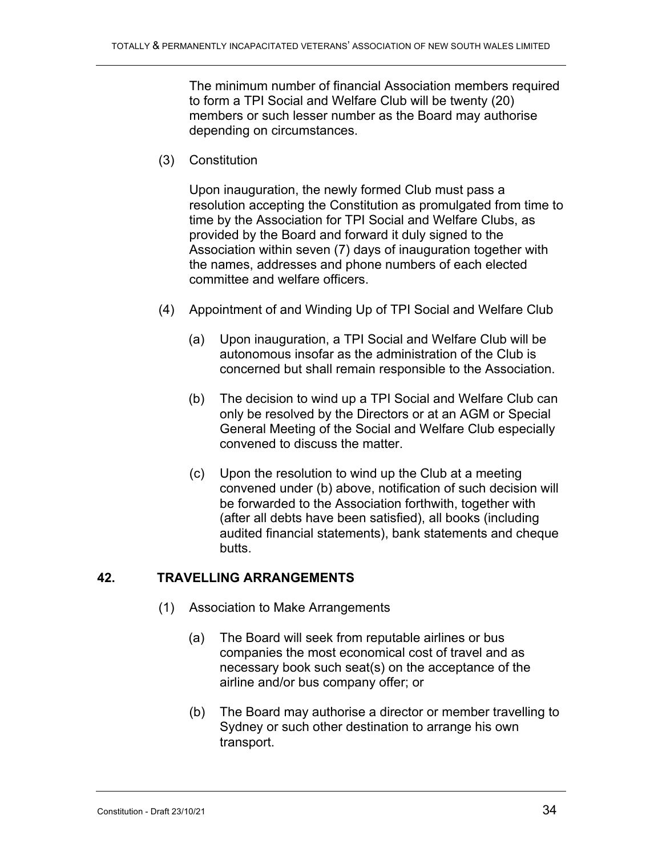The minimum number of financial Association members required to form a TPI Social and Welfare Club will be twenty (20) members or such lesser number as the Board may authorise depending on circumstances.

(3) Constitution

Upon inauguration, the newly formed Club must pass a resolution accepting the Constitution as promulgated from time to time by the Association for TPI Social and Welfare Clubs, as provided by the Board and forward it duly signed to the Association within seven (7) days of inauguration together with the names, addresses and phone numbers of each elected committee and welfare officers.

- (4) Appointment of and Winding Up of TPI Social and Welfare Club
	- (a) Upon inauguration, a TPI Social and Welfare Club will be autonomous insofar as the administration of the Club is concerned but shall remain responsible to the Association.
	- (b) The decision to wind up a TPI Social and Welfare Club can only be resolved by the Directors or at an AGM or Special General Meeting of the Social and Welfare Club especially convened to discuss the matter.
	- (c) Upon the resolution to wind up the Club at a meeting convened under (b) above, notification of such decision will be forwarded to the Association forthwith, together with (after all debts have been satisfied), all books (including audited financial statements), bank statements and cheque butts.

#### **42. TRAVELLING ARRANGEMENTS**

- (1) Association to Make Arrangements
	- (a) The Board will seek from reputable airlines or bus companies the most economical cost of travel and as necessary book such seat(s) on the acceptance of the airline and/or bus company offer; or
	- (b) The Board may authorise a director or member travelling to Sydney or such other destination to arrange his own transport.